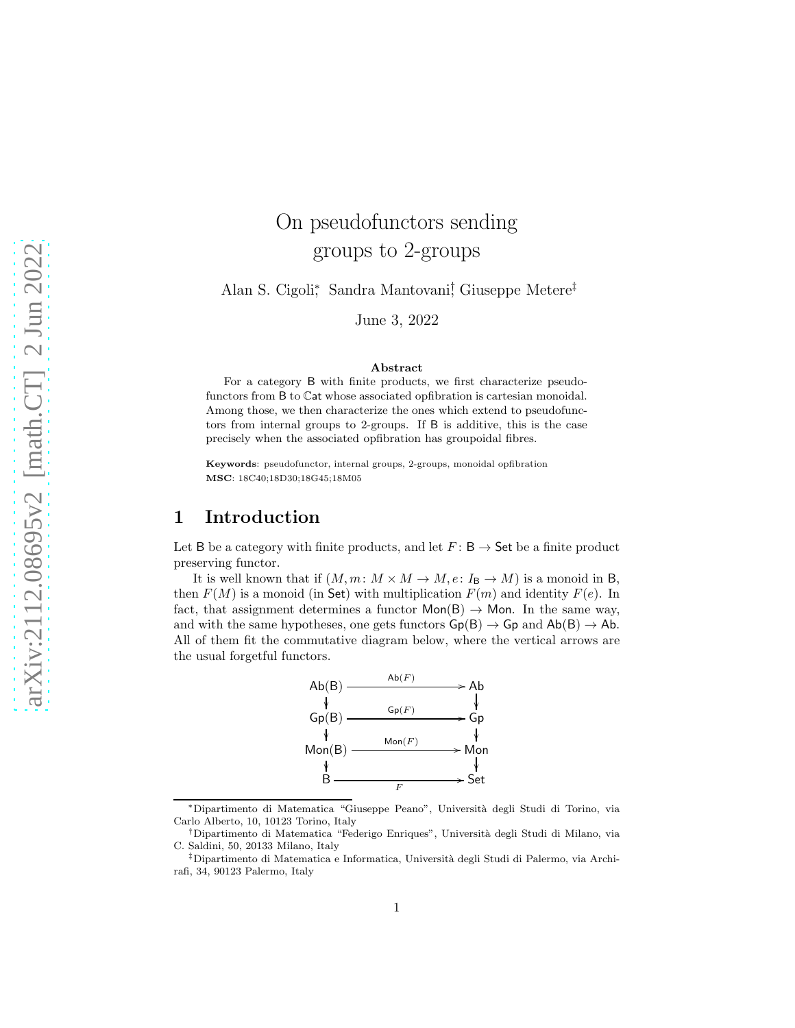# On pseudofunctors sending groups to 2-groups

Alan S. Cigoli<sup>∗</sup> , Sandra Mantovani† , Giuseppe Metere‡

June 3, 2022

#### Abstract

For a category B with finite products, we first characterize pseudofunctors from B to Cat whose associated opfibration is cartesian monoidal. Among those, we then characterize the ones which extend to pseudofunctors from internal groups to 2-groups. If B is additive, this is the case precisely when the associated opfibration has groupoidal fibres.

Keywords: pseudofunctor, internal groups, 2-groups, monoidal opfibration MSC: 18C40;18D30;18G45;18M05

## 1 Introduction

Let B be a category with finite products, and let  $F: B \to \mathsf{Set}$  be a finite product preserving functor.

It is well known that if  $(M, m: M \times M \to M, e: I_{\mathbf{B}} \to M)$  is a monoid in B, then  $F(M)$  is a monoid (in Set) with multiplication  $F(m)$  and identity  $F(e)$ . In fact, that assignment determines a functor  $Mon(B) \rightarrow Mon$ . In the same way, and with the same hypotheses, one gets functors  $Gp(B) \to Gp$  and  $Ab(B) \to Ab$ . All of them fit the commutative diagram below, where the vertical arrows are the usual forgetful functors.



<sup>∗</sup>Dipartimento di Matematica "Giuseppe Peano", Universit`a degli Studi di Torino, via Carlo Alberto, 10, 10123 Torino, Italy

<sup>†</sup>Dipartimento di Matematica "Federigo Enriques", Universit`a degli Studi di Milano, via C. Saldini, 50, 20133 Milano, Italy

<sup>&</sup>lt;sup>‡</sup>Dipartimento di Matematica e Informatica, Università degli Studi di Palermo, via Archirafi, 34, 90123 Palermo, Italy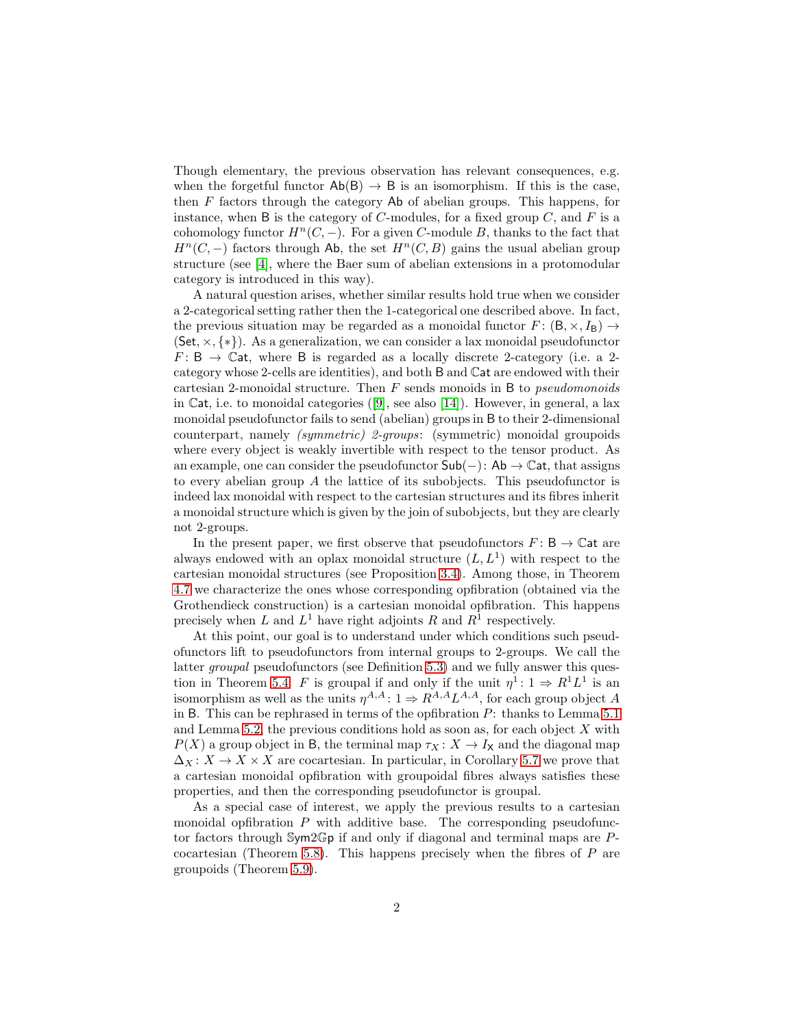Though elementary, the previous observation has relevant consequences, e.g. when the forgetful functor  $Ab(B) \rightarrow B$  is an isomorphism. If this is the case, then F factors through the category Ab of abelian groups. This happens, for instance, when B is the category of C-modules, for a fixed group  $C$ , and F is a cohomology functor  $H^n(C, -)$ . For a given C-module B, thanks to the fact that  $H<sup>n</sup>(C, -)$  factors through Ab, the set  $H<sup>n</sup>(C, B)$  gains the usual abelian group structure (see [\[4\]](#page-25-0), where the Baer sum of abelian extensions in a protomodular category is introduced in this way).

A natural question arises, whether similar results hold true when we consider a 2-categorical setting rather then the 1-categorical one described above. In fact, the previous situation may be regarded as a monoidal functor  $F : (\mathsf{B}, \times, I_{\mathsf{B}}) \to$  $(Set, \times, \{*\})$ . As a generalization, we can consider a lax monoidal pseudofunctor  $F: \mathsf{B} \to \mathbb{C}$ at, where  $\mathsf{B}$  is regarded as a locally discrete 2-category (i.e. a 2category whose 2-cells are identities), and both B and Cat are endowed with their cartesian 2-monoidal structure. Then  $F$  sends monoids in B to *pseudomonoids* in Cat, i.e. to monoidal categories  $([9]$  $([9]$ , see also  $[14]$ ). However, in general, a lax monoidal pseudofunctor fails to send (abelian) groups in B to their 2-dimensional counterpart, namely (symmetric) 2-groups: (symmetric) monoidal groupoids where every object is weakly invertible with respect to the tensor product. As an example, one can consider the pseudofunctor  $\mathsf{Sub}(-)$ : Ab  $\rightarrow \mathbb{C}$ at, that assigns to every abelian group A the lattice of its subobjects. This pseudofunctor is indeed lax monoidal with respect to the cartesian structures and its fibres inherit a monoidal structure which is given by the join of subobjects, but they are clearly not 2-groups.

In the present paper, we first observe that pseudofunctors  $F: B \to \mathbb{C}$  at are always endowed with an oplax monoidal structure  $(L, L<sup>1</sup>)$  with respect to the cartesian monoidal structures (see Proposition [3.4\)](#page-8-0). Among those, in Theorem [4.7](#page-13-0) we characterize the ones whose corresponding opfibration (obtained via the Grothendieck construction) is a cartesian monoidal opfibration. This happens precisely when L and  $L^1$  have right adjoints R and  $R^1$  respectively.

At this point, our goal is to understand under which conditions such pseudofunctors lift to pseudofunctors from internal groups to 2-groups. We call the latter groupal pseudofunctors (see Definition [5.3\)](#page-17-0) and we fully answer this ques-tion in Theorem [5.4:](#page-18-0) F is groupal if and only if the unit  $\eta^1: 1 \Rightarrow R^1L^1$  is an isomorphism as well as the units  $\eta^{A,A}: 1 \Rightarrow R^{A,A} L^{A,A}$ , for each group object A in B. This can be rephrased in terms of the opfibration P: thanks to Lemma [5.1](#page-16-0) and Lemma [5.2,](#page-16-1) the previous conditions hold as soon as, for each object  $X$  with  $P(X)$  a group object in B, the terminal map  $\tau_X : X \to I_X$  and the diagonal map  $\Delta_X: X \to X \times X$  are cocartesian. In particular, in Corollary [5.7](#page-19-0) we prove that a cartesian monoidal opfibration with groupoidal fibres always satisfies these properties, and then the corresponding pseudofunctor is groupal.

As a special case of interest, we apply the previous results to a cartesian monoidal opfibration  $P$  with additive base. The corresponding pseudofunctor factors through Sym2Gp if and only if diagonal and terminal maps are P-cocartesian (Theorem [5.8\)](#page-20-0). This happens precisely when the fibres of  $P$  are groupoids (Theorem [5.9\)](#page-20-1).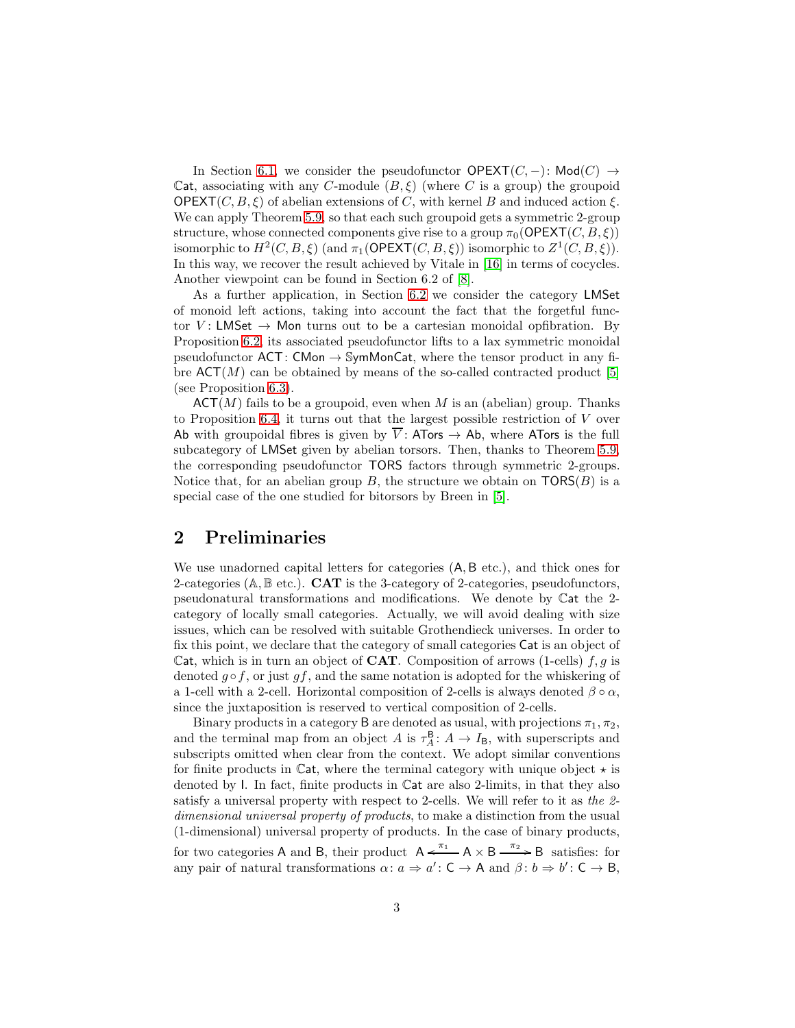In Section [6.1,](#page-20-2) we consider the pseudofunctor  $OPEXT(C, -)$ : Mod $(C) \rightarrow$ Cat, associating with any C-module  $(B, \xi)$  (where C is a group) the groupoid  $OPEXT(C, B, \xi)$  of abelian extensions of C, with kernel B and induced action  $\xi$ . We can apply Theorem [5.9,](#page-20-1) so that each such groupoid gets a symmetric 2-group structure, whose connected components give rise to a group  $\pi_0(\mathsf{OPEXT}(C, B, \xi))$ isomorphic to  $H^2(C, B, \xi)$  (and  $\pi_1(\mathsf{OPEXT}(C, B, \xi))$  isomorphic to  $Z^1(C, B, \xi)$ ). In this way, we recover the result achieved by Vitale in [\[16\]](#page-25-3) in terms of cocycles. Another viewpoint can be found in Section 6.2 of [\[8\]](#page-25-4).

As a further application, in Section [6.2](#page-21-0) we consider the category LMSet of monoid left actions, taking into account the fact that the forgetful functor V: LMSet  $\rightarrow$  Mon turns out to be a cartesian monoidal opfibration. By Proposition [6.2,](#page-22-0) its associated pseudofunctor lifts to a lax symmetric monoidal pseudofunctor  $ACT: CMon \rightarrow SymMonCat$ , where the tensor product in any fibre  $\mathsf{ACT}(M)$  can be obtained by means of the so-called contracted product [\[5\]](#page-25-5) (see Proposition [6.3\)](#page-23-0).

 $\mathsf{ACT}(M)$  fails to be a groupoid, even when M is an (abelian) group. Thanks to Proposition [6.4,](#page-23-1) it turns out that the largest possible restriction of V over Ab with groupoidal fibres is given by  $\overline{V}$ : ATors  $\rightarrow$  Ab, where ATors is the full subcategory of LMSet given by abelian torsors. Then, thanks to Theorem [5.9,](#page-20-1) the corresponding pseudofunctor TORS factors through symmetric 2-groups. Notice that, for an abelian group B, the structure we obtain on  $TORS(B)$  is a special case of the one studied for bitorsors by Breen in [\[5\]](#page-25-5).

# <span id="page-2-0"></span>2 Preliminaries

We use unadorned capital letters for categories (A, B etc.), and thick ones for 2-categories ( $A, B$  etc.). **CAT** is the 3-category of 2-categories, pseudofunctors, pseudonatural transformations and modifications. We denote by Cat the 2 category of locally small categories. Actually, we will avoid dealing with size issues, which can be resolved with suitable Grothendieck universes. In order to fix this point, we declare that the category of small categories Cat is an object of Cat, which is in turn an object of **CAT**. Composition of arrows (1-cells)  $f, g$  is denoted  $g \circ f$ , or just  $gf$ , and the same notation is adopted for the whiskering of a 1-cell with a 2-cell. Horizontal composition of 2-cells is always denoted  $\beta \circ \alpha$ , since the juxtaposition is reserved to vertical composition of 2-cells.

Binary products in a category B are denoted as usual, with projections  $\pi_1, \pi_2$ , and the terminal map from an object A is  $\tau_A^{\mathsf{B}}$ :  $A \to I_{\mathsf{B}}$ , with superscripts and subscripts omitted when clear from the context. We adopt similar conventions for finite products in Cat, where the terminal category with unique object  $\star$  is denoted by I. In fact, finite products in Cat are also 2-limits, in that they also satisfy a universal property with respect to 2-cells. We will refer to it as the 2 dimensional universal property of products, to make a distinction from the usual (1-dimensional) universal property of products. In the case of binary products, for two categories A and B, their product  $A \xleftarrow{\pi_1} A \times B \xrightarrow{\pi_2} B$  satisfies: for

any pair of natural transformations  $\alpha: a \Rightarrow a': C \rightarrow A$  and  $\beta: b \Rightarrow b': C \rightarrow B$ ,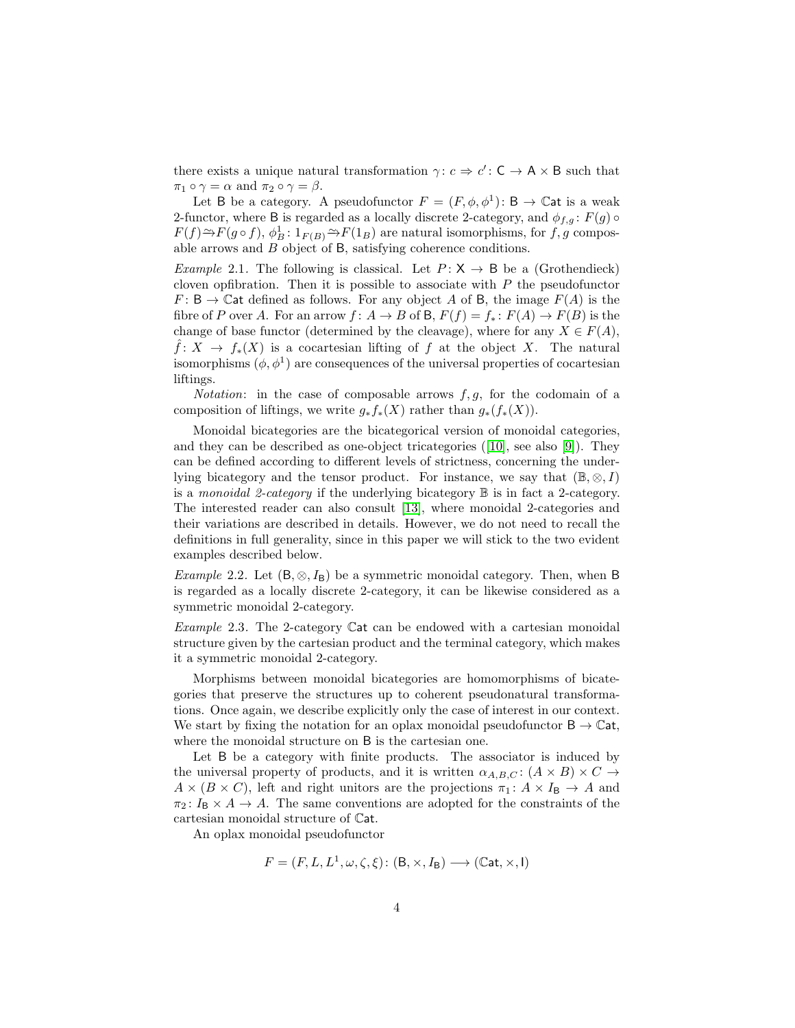there exists a unique natural transformation  $\gamma: c \Rightarrow c': \mathsf{C} \to \mathsf{A} \times \mathsf{B}$  such that  $\pi_1 \circ \gamma = \alpha$  and  $\pi_2 \circ \gamma = \beta$ .

Let B be a category. A pseudofunctor  $F = (F, \phi, \phi^1)$ : B  $\rightarrow \mathbb{C}$ at is a weak 2-functor, where B is regarded as a locally discrete 2-category, and  $\phi_{f,q}$ :  $F(g) \circ$  $F(f) \rightarrow F(g \circ f)$ ,  $\phi_B^1: 1_{F(B)} \rightarrow F(1_B)$  are natural isomorphisms, for  $f, g$  composable arrows and B object of B, satisfying coherence conditions.

*Example* 2.1. The following is classical. Let  $P: X \rightarrow B$  be a (Grothendieck) cloven opfibration. Then it is possible to associate with  $P$  the pseudofunctor  $F: \mathsf{B} \to \mathbb{C}$  at defined as follows. For any object A of B, the image  $F(A)$  is the fibre of P over A. For an arrow  $f: A \to B$  of B,  $F(f) = f_* : F(A) \to F(B)$  is the change of base functor (determined by the cleavage), where for any  $X \in F(A)$ ,  $f: X \to f_*(X)$  is a cocartesian lifting of f at the object X. The natural isomorphisms  $(\phi, \phi^1)$  are consequences of the universal properties of cocartesian liftings.

*Notation*: in the case of composable arrows  $f, g$ , for the codomain of a composition of liftings, we write  $g_* f_*(X)$  rather than  $g_*(f_*(X))$ .

Monoidal bicategories are the bicategorical version of monoidal categories, and they can be described as one-object tricategories  $([10]$  $([10]$ , see also  $[9]$ ). They can be defined according to different levels of strictness, concerning the underlying bicategory and the tensor product. For instance, we say that  $(\mathbb{B}, \otimes, I)$ is a monoidal 2-category if the underlying bicategory  $\mathbb B$  is in fact a 2-category. The interested reader can also consult [\[13\]](#page-25-7), where monoidal 2-categories and their variations are described in details. However, we do not need to recall the definitions in full generality, since in this paper we will stick to the two evident examples described below.

*Example* 2.2. Let  $(B, \otimes, I_B)$  be a symmetric monoidal category. Then, when B is regarded as a locally discrete 2-category, it can be likewise considered as a symmetric monoidal 2-category.

Example 2.3. The 2-category Cat can be endowed with a cartesian monoidal structure given by the cartesian product and the terminal category, which makes it a symmetric monoidal 2-category.

Morphisms between monoidal bicategories are homomorphisms of bicategories that preserve the structures up to coherent pseudonatural transformations. Once again, we describe explicitly only the case of interest in our context. We start by fixing the notation for an oplax monoidal pseudofunctor  $B \to \mathbb{C}$ at, where the monoidal structure on B is the cartesian one.

Let B be a category with finite products. The associator is induced by the universal property of products, and it is written  $\alpha_{A,B,C}$ :  $(A \times B) \times C \rightarrow$  $A \times (B \times C)$ , left and right unitors are the projections  $\pi_1: A \times I_B \to A$  and  $\pi_2$ :  $I_B \times A \rightarrow A$ . The same conventions are adopted for the constraints of the cartesian monoidal structure of Cat.

An oplax monoidal pseudofunctor

$$
F = (F, L, L^1, \omega, \zeta, \xi) : (\mathsf{B}, \times, I_{\mathsf{B}}) \longrightarrow (\mathbb{C}\mathsf{at}, \times, \mathsf{I})
$$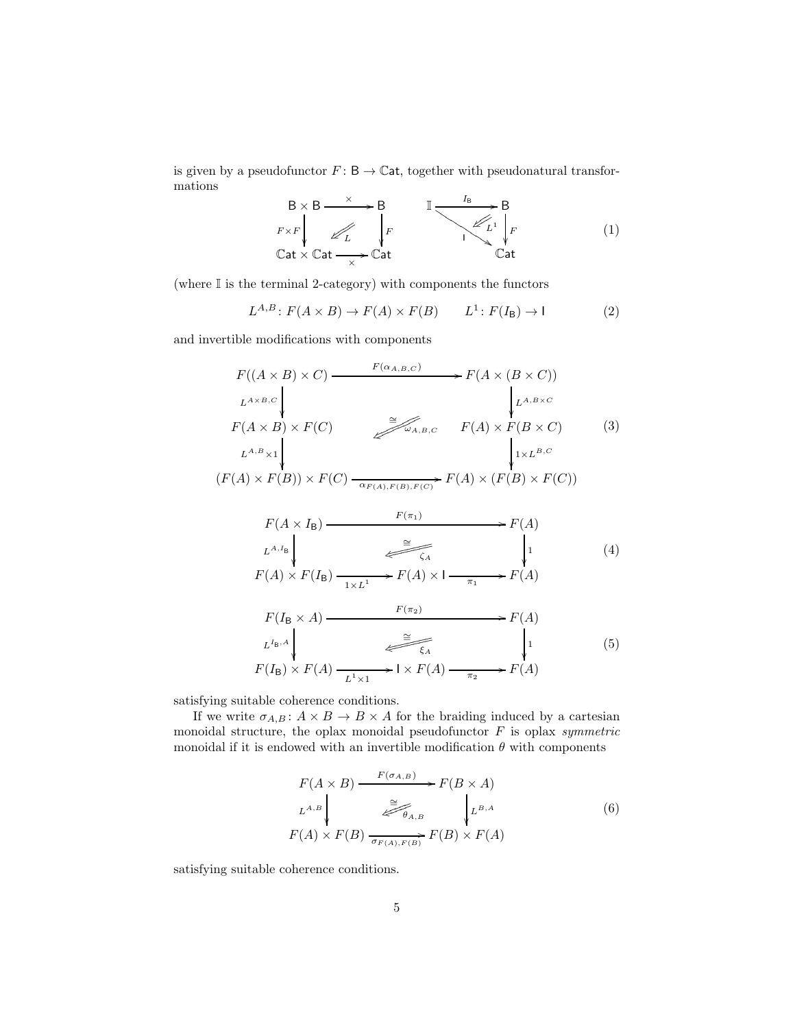is given by a pseudofunctor  $F\colon \mathsf{B}\to \mathbb{C}$ at, together with pseudonatural transformations

<span id="page-4-0"></span>
$$
B \times B \xrightarrow{\times} B
$$
  
\n
$$
F \times F \downarrow \swarrow
$$
  
\n
$$
Cat \times Cat \xrightarrow{\times} Cat
$$
  
\n
$$
B
$$
  
\n
$$
B
$$
  
\n
$$
F
$$
  
\n
$$
F
$$
  
\n
$$
F
$$
  
\n
$$
A
$$
  
\n
$$
F
$$
  
\n
$$
A
$$
  
\n
$$
F
$$
  
\n
$$
Cat
$$
  
\n(1)

(where I is the terminal 2-category) with components the functors

$$
L^{A,B} \colon F(A \times B) \to F(A) \times F(B) \qquad L^1 \colon F(I_B) \to I \tag{2}
$$

and invertible modifications with components

<span id="page-4-1"></span>
$$
F((A \times B) \times C) \xrightarrow{F(\alpha_{A,B,C})} F(A \times (B \times C))
$$
\n
$$
L^{A \times B,C}
$$
\n
$$
F(A \times B) \times F(C)
$$
\n
$$
L^{A,B} \times 1
$$
\n
$$
(F(A) \times F(B)) \times F(C) \xrightarrow{\cong} \mathcal{L}_{A,B,C} F(A) \times F(B \times C)
$$
\n
$$
F(A) \times F(B) \times F(C)
$$
\n
$$
F(A \times I_B)
$$
\n
$$
F(\pi_1)
$$
\n
$$
L^{A,I_B}
$$
\n
$$
L^{A,I_B}
$$
\n
$$
F(\pi_1)
$$
\n
$$
F(A)
$$
\n
$$
L^{A,I_B}
$$
\n
$$
T \xrightarrow{F(\pi_1)} \qquad F(A)
$$
\n
$$
L^{A,I_B}
$$
\n
$$
T \xrightarrow{G} \qquad \downarrow 1
$$
\n
$$
(4)
$$

<span id="page-4-2"></span>
$$
F(A) \times F(I_{\mathsf{B}}) \xrightarrow[1 \times L^1]{\longrightarrow} F(A) \times I \xrightarrow[\pi_1]{\longrightarrow} F(A)
$$

<span id="page-4-3"></span>
$$
F(I_{\mathsf{B}} \times A) \xrightarrow{F(\pi_2)} F(A)
$$
\n
$$
L^{I_{\mathsf{B}},A} \downarrow \qquad \qquad \xrightarrow{\cong} F(A)
$$
\n
$$
F(I_{\mathsf{B}}) \times F(A) \xrightarrow{L^1 \times 1} \mathsf{I} \times F(A) \xrightarrow{\pi_2} F(A)
$$
\n
$$
(5)
$$

satisfying suitable coherence conditions.

If we write  $\sigma_{A,B} : A \times B \to B \times A$  for the braiding induced by a cartesian monoidal structure, the oplax monoidal pseudofunctor  $F$  is oplax symmetric monoidal if it is endowed with an invertible modification  $\theta$  with components

<span id="page-4-4"></span>
$$
F(A \times B) \xrightarrow{F(\sigma_{A,B})} F(B \times A)
$$
  
\n
$$
L^{A,B} \downarrow \xrightarrow{\cong} \mathcal{F}_{\theta_{A,B}} \downarrow L^{B,A}
$$
  
\n
$$
F(A) \times F(B) \xrightarrow{\cong} F(A) \times F(B) \times F(A)
$$
  
\n(6)

satisfying suitable coherence conditions.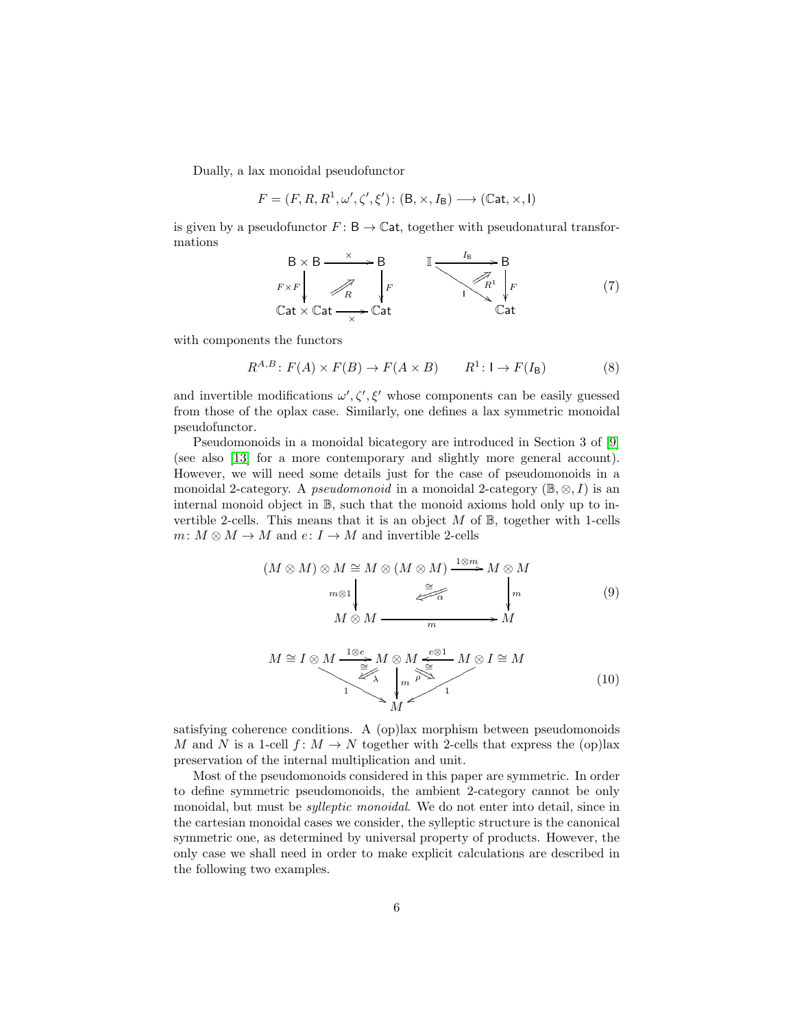Dually, a lax monoidal pseudofunctor

$$
F = (F, R, R^1, \omega', \zeta', \xi') \colon (\mathsf{B}, \times, I_{\mathsf{B}}) \longrightarrow (\mathbb{C}\mathsf{at}, \times, \mathsf{I})
$$

is given by a pseudofunctor  $F: \mathsf{B} \to \mathbb{C}$ at, together with pseudonatural transformations

$$
B \times B \xrightarrow{\times} B
$$
  
\n
$$
F \times F \downarrow \qquad F
$$
  
\n
$$
Cat \times Cat \xrightarrow{\times} Cat
$$
  
\n
$$
F
$$
  
\n
$$
F
$$
  
\n
$$
F
$$
  
\n
$$
F
$$
  
\n
$$
P
$$
  
\n
$$
R^1 \downarrow F
$$
  
\n
$$
Cat
$$
  
\n(7)

with components the functors

$$
R^{A,B} \colon F(A) \times F(B) \to F(A \times B) \qquad R^1 \colon I \to F(I_B) \tag{8}
$$

and invertible modifications  $\omega', \zeta', \xi'$  whose components can be easily guessed from those of the oplax case. Similarly, one defines a lax symmetric monoidal pseudofunctor.

Pseudomonoids in a monoidal bicategory are introduced in Section 3 of [\[9\]](#page-25-1) (see also [\[13\]](#page-25-7) for a more contemporary and slightly more general account). However, we will need some details just for the case of pseudomonoids in a monoidal 2-category. A *pseudomonoid* in a monoidal 2-category ( $\mathbb{B}, \otimes, I$ ) is an internal monoid object in B, such that the monoid axioms hold only up to invertible 2-cells. This means that it is an object  $M$  of  $\mathbb{B}$ , together with 1-cells  $m\colon M\otimes M\to M$  and  $e\colon I\to M$  and invertible 2-cells

$$
(M \otimes M) \otimes M \cong M \otimes (M \otimes M) \xrightarrow{1 \otimes m} M \otimes M
$$
  
\n
$$
m \otimes 1 \downarrow \qquad \qquad \xrightarrow{m} \qquad \qquad \downarrow m
$$
  
\n
$$
M \otimes M \xrightarrow{m} M
$$
  
\n(9)

$$
M \cong I \otimes M \xrightarrow{\begin{subarray}{c}\n1 \otimes e \\
\hline\n\cong \\
1 \leq \lambda\n\end{subarray}} M \otimes M \xrightarrow{\begin{subarray}{c}\ne \otimes 1 \\
\hline\n\cong \\
1 \leq \lambda\n\end{subarray}} M \otimes I \cong M
$$
\n
$$
(10)
$$

satisfying coherence conditions. A (op)lax morphism between pseudomonoids M and N is a 1-cell  $f: M \to N$  together with 2-cells that express the (op)lax preservation of the internal multiplication and unit.

Most of the pseudomonoids considered in this paper are symmetric. In order to define symmetric pseudomonoids, the ambient 2-category cannot be only monoidal, but must be sylleptic monoidal. We do not enter into detail, since in the cartesian monoidal cases we consider, the sylleptic structure is the canonical symmetric one, as determined by universal property of products. However, the only case we shall need in order to make explicit calculations are described in the following two examples.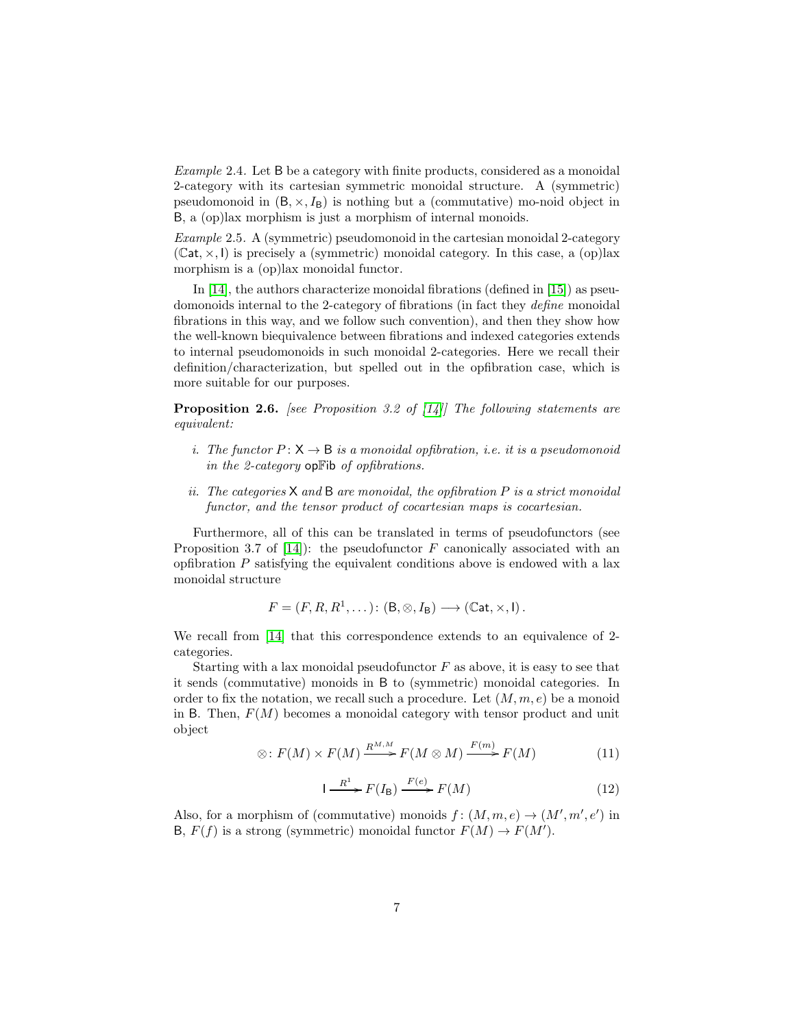Example 2.4. Let B be a category with finite products, considered as a monoidal 2-category with its cartesian symmetric monoidal structure. A (symmetric) pseudomonoid in  $(B, \times, I_B)$  is nothing but a (commutative) mo-noid object in B, a (op)lax morphism is just a morphism of internal monoids.

*Example* 2.5. A (symmetric) pseudomonoid in the cartesian monoidal 2-category  $(Cat, x, l)$  is precisely a (symmetric) monoidal category. In this case, a (op)lax morphism is a (op)lax monoidal functor.

In  $[14]$ , the authors characterize monoidal fibrations (defined in  $[15]$ ) as pseudomonoids internal to the 2-category of fibrations (in fact they define monoidal fibrations in this way, and we follow such convention), and then they show how the well-known biequivalence between fibrations and indexed categories extends to internal pseudomonoids in such monoidal 2-categories. Here we recall their definition/characterization, but spelled out in the opfibration case, which is more suitable for our purposes.

<span id="page-6-0"></span>**Proposition 2.6.** [see Proposition 3.2 of [\[14\]](#page-25-2)] The following statements are equivalent:

- i. The functor  $P: X \to B$  is a monoidal opfibration, i.e. it is a pseudomonoid in the 2-category opFib of opfibrations.
- ii. The categories  $X$  and  $B$  are monoidal, the opfibration  $P$  is a strict monoidal functor, and the tensor product of cocartesian maps is cocartesian.

Furthermore, all of this can be translated in terms of pseudofunctors (see Proposition 3.7 of  $[14]$ : the pseudofunctor F canonically associated with an opfibration  $P$  satisfying the equivalent conditions above is endowed with a lax monoidal structure

$$
F = (F, R, R^1, \dots) \colon (\mathsf{B}, \otimes, I_{\mathsf{B}}) \longrightarrow (\mathbb{C}\mathsf{at}, \times, I).
$$

We recall from [\[14\]](#page-25-2) that this correspondence extends to an equivalence of 2 categories.

Starting with a lax monoidal pseudofunctor  $F$  as above, it is easy to see that it sends (commutative) monoids in B to (symmetric) monoidal categories. In order to fix the notation, we recall such a procedure. Let  $(M, m, e)$  be a monoid in B. Then,  $F(M)$  becomes a monoidal category with tensor product and unit object

<span id="page-6-1"></span>
$$
\otimes: F(M) \times F(M) \xrightarrow{R^{M,M}} F(M \otimes M) \xrightarrow{F(m)} F(M) \tag{11}
$$

<span id="page-6-2"></span>
$$
I \xrightarrow{R^1} F(I_B) \xrightarrow{F(e)} F(M) \tag{12}
$$

Also, for a morphism of (commutative) monoids  $f: (M,m,e) \to (M',m',e')$  in B,  $F(f)$  is a strong (symmetric) monoidal functor  $F(M) \to F(M')$ .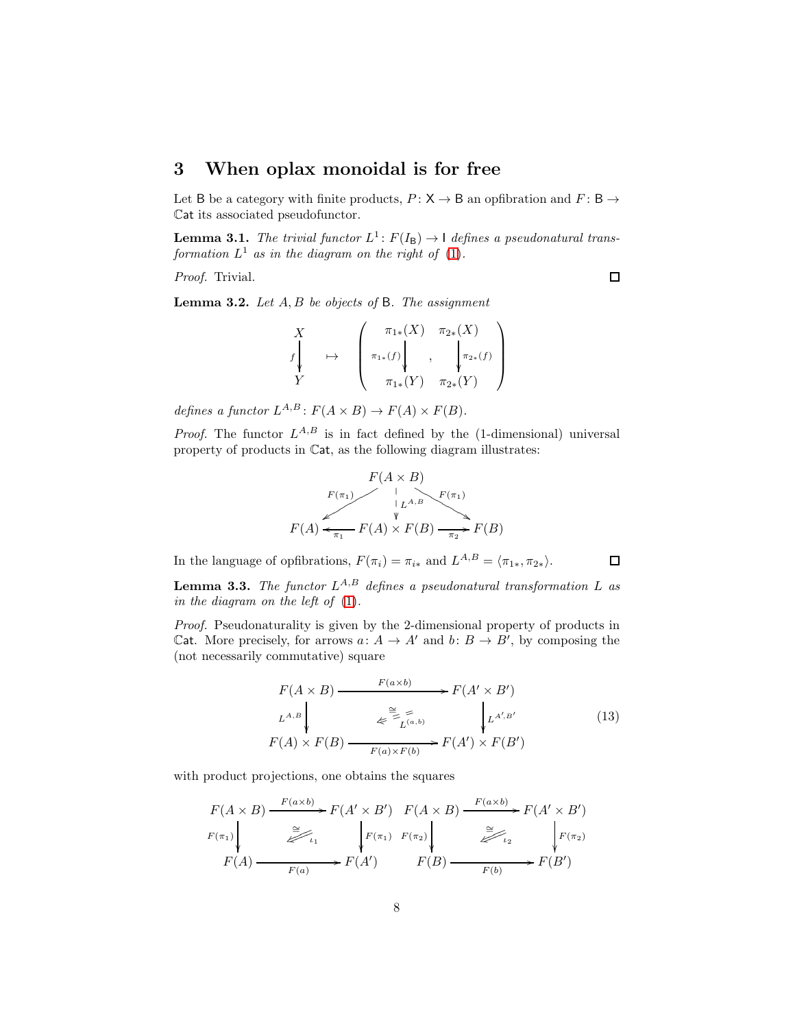# 3 When oplax monoidal is for free

Let B be a category with finite products,  $P: X \rightarrow B$  an opfibration and  $F: B \rightarrow$ Cat its associated pseudofunctor.

<span id="page-7-1"></span>**Lemma 3.1.** The trivial functor  $L^1$ :  $F(I_B) \rightarrow 1$  defines a pseudonatural transformation  $L^1$  as in the diagram on the right of [\(1\)](#page-4-0).

Proof. Trivial.

<span id="page-7-2"></span>**Lemma 3.2.** Let  $A, B$  be objects of  $B$ . The assignment

$$
\begin{array}{ccc}\nX & & \pi_{1*}(X) & \pi_{2*}(X) \\
f_{*} & \mapsto & \left(\begin{array}{c} \pi_{1*}(f) \\ \pi_{1*}(f) \\ \pi_{1*}(Y) & \pi_{2*}(Y) \end{array}\right) \\
Y\n\end{array}
$$

defines a functor  $L^{A,B}: F(A \times B) \to F(A) \times F(B)$ .

*Proof.* The functor  $L^{A,B}$  is in fact defined by the (1-dimensional) universal property of products in Cat, as the following diagram illustrates:

$$
F(A \times B)
$$
  
\n
$$
F(\pi_1)
$$
  
\n
$$
F(A) \leftarrow \text{Var}(A) \times F(B) \xrightarrow{\text{Var}(B)} F(\pi_1)
$$
  
\n
$$
F(A) \leftarrow \text{Var}(B) \xrightarrow{\text{Var}(B)} F(B)
$$

In the language of opfibrations,  $F(\pi_i) = \pi_{i*}$  and  $L^{A,B} = \langle \pi_{1*}, \pi_{2*} \rangle$ .

<span id="page-7-3"></span>**Lemma 3.3.** The functor  $L^{A,B}$  defines a pseudonatural transformation L as in the diagram on the left of [\(1\)](#page-4-0).

Proof. Pseudonaturality is given by the 2-dimensional property of products in Cat. More precisely, for arrows  $a: A \to A'$  and  $b: B \to B'$ , by composing the (not necessarily commutative) square

<span id="page-7-0"></span>
$$
F(A \times B) \xrightarrow{F(a \times b)} F(A' \times B')
$$
  
\n
$$
L^{A,B} \downarrow \qquad \qquad \underset{F(a) \times F(b)}{\geq} \underset{F(a) \times F(b)}{\geq} F(A') \times F(B')
$$
\n
$$
(13)
$$

with product projections, one obtains the squares

$$
F(A \times B) \xrightarrow{F(a \times b)} F(A' \times B') \xrightarrow{F(A \times B)} F(A' \times B')
$$
  
\n
$$
F(\pi_1)
$$
  
\n
$$
F(A) \xrightarrow{a} F(a) \xrightarrow{F(\pi_1)} F(\pi_2)
$$
  
\n
$$
F(B) \xrightarrow{a} F(B')
$$
  
\n
$$
F(B') \xrightarrow{F(b)} F(B')
$$

 $\Box$ 

 $\Box$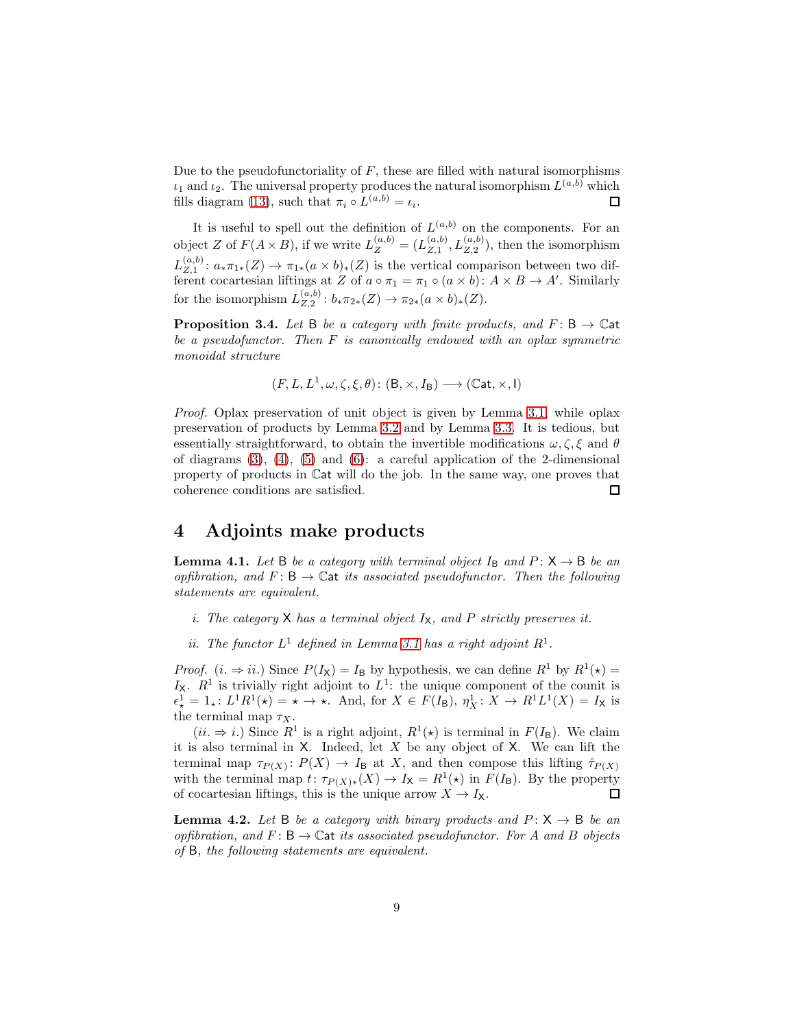Due to the pseudofunctoriality of  $F$ , these are filled with natural isomorphisms  $\iota_1$  and  $\iota_2$ . The universal property produces the natural isomorphism  $L^{(a,b)}$  which fills diagram [\(13\)](#page-7-0), such that  $\pi_i \circ L^{(a,b)} = \iota_i$ .  $\square$ 

It is useful to spell out the definition of  $L^{(a,b)}$  on the components. For an object Z of  $F(A \times B)$ , if we write  $L_Z^{(a,b)} = (L_{Z,1}^{(a,b)})$  $L_{Z,1}^{(a,b)}, L_{Z,2}^{(a,b)}$ , then the isomorphism  $L_{Z,1}^{(a,b)}$  $Z_{Z,1}^{(a,0)}$ :  $a_*\pi_{1*}(Z) \to \pi_{1*}(a \times b)_*(Z)$  is the vertical comparison between two different cocartesian liftings at Z of  $a \circ \pi_1 = \pi_1 \circ (a \times b) : A \times B \to A'$ . Similarly for the isomorphism  $L_{Z,2}^{(a,b)}$  $\chi_{Z,2}^{(a,o)}: b_*\pi_{2*}(Z) \to \pi_{2*}(a \times b)_*(Z).$ 

<span id="page-8-0"></span>**Proposition 3.4.** Let B be a category with finite products, and  $F: B \to \mathbb{C}$  at be a pseudofunctor. Then  $F$  is canonically endowed with an oplax symmetric monoidal structure

$$
(F, L, L^1, \omega, \zeta, \xi, \theta) \colon (\mathsf{B}, \times, I_{\mathsf{B}}) \longrightarrow (\mathbb{C}\mathsf{at}, \times, \mathsf{I})
$$

Proof. Oplax preservation of unit object is given by Lemma [3.1,](#page-7-1) while oplax preservation of products by Lemma [3.2](#page-7-2) and by Lemma [3.3.](#page-7-3) It is tedious, but essentially straightforward, to obtain the invertible modifications  $\omega, \zeta, \xi$  and  $\theta$ of diagrams  $(3)$ ,  $(4)$ ,  $(5)$  and  $(6)$ : a careful application of the 2-dimensional property of products in Cat will do the job. In the same way, one proves that coherence conditions are satisfied.  $\Box$ 

#### 4 Adjoints make products

<span id="page-8-2"></span>**Lemma 4.1.** Let B be a category with terminal object  $I_B$  and  $P: X \rightarrow B$  be an opfibration, and  $F: \mathsf{B} \to \mathbb{C}$  at its associated pseudofunctor. Then the following statements are equivalent.

- i. The category  $X$  has a terminal object  $I_X$ , and  $P$  strictly preserves it.
- ii. The functor  $L^1$  defined in Lemma [3.1](#page-7-1) has a right adjoint  $R^1$ .

*Proof.*  $(i. \Rightarrow ii.)$  Since  $P(I_{\mathsf{X}}) = I_{\mathsf{B}}$  by hypothesis, we can define  $R^1$  by  $R^1(\star) =$  $I_X$ .  $R^1$  is trivially right adjoint to  $L^1$ : the unique component of the counit is  $\epsilon_{\star}^{1} = 1_{\star}: L^{1}R^{1}(\star) = \star \to \star$ . And, for  $X \in F(I_{\mathsf{B}}), \eta_{X}^{1}: X \to R^{1}L^{1}(X) = I_{\mathsf{X}}$  is the terminal map  $\tau_X$ .

 $(ii. \Rightarrow i.)$  Since  $R^1$  is a right adjoint,  $R^1(\star)$  is terminal in  $F(I_B)$ . We claim it is also terminal in  $X$ . Indeed, let  $X$  be any object of  $X$ . We can lift the terminal map  $\tau_{P(X)}: P(X) \to I_B$  at X, and then compose this lifting  $\hat{\tau}_{P(X)}$ with the terminal map  $t: \tau_{P(X)*}(X) \to I_X = R^1(*)$  in  $F(I_B)$ . By the property of cocartesian liftings, this is the unique arrow  $X \to I_X$ .  $\Box$ 

<span id="page-8-1"></span>**Lemma 4.2.** Let B be a category with binary products and  $P: X \rightarrow B$  be an opfibration, and  $F: \mathsf{B} \to \mathbb{C}$  at its associated pseudofunctor. For A and B objects of B, the following statements are equivalent.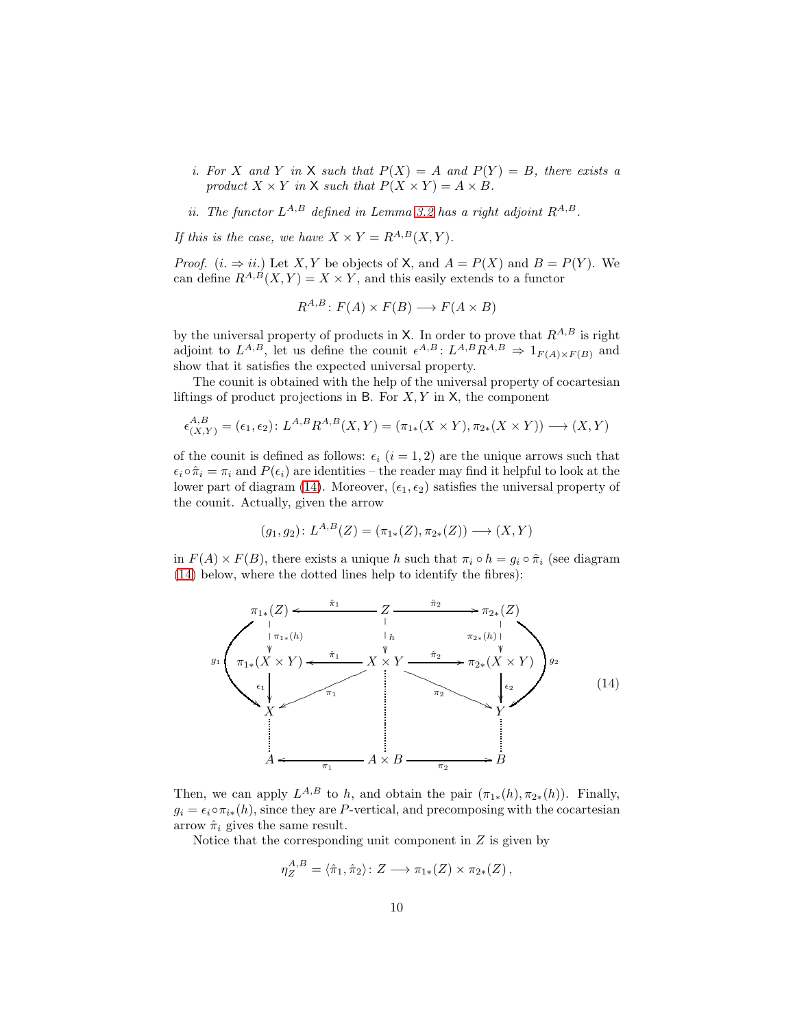i. For X and Y in X such that  $P(X) = A$  and  $P(Y) = B$ , there exists a product  $X \times Y$  in X such that  $P(X \times Y) = A \times B$ .

ii. The functor  $L^{A,B}$  defined in Lemma [3.2](#page-7-2) has a right adjoint  $R^{A,B}$ .

If this is the case, we have  $X \times Y = R^{A,B}(X,Y)$ .

*Proof.*  $(i. \Rightarrow ii.)$  Let X, Y be objects of X, and  $A = P(X)$  and  $B = P(Y)$ . We can define  $R^{A,B}(X,Y) = X \times Y$ , and this easily extends to a functor

$$
R^{A,B} \colon F(A) \times F(B) \longrightarrow F(A \times B)
$$

by the universal property of products in X. In order to prove that  $R^{A,B}$  is right adjoint to  $L^{A,B}$ , let us define the counit  $\epsilon^{A,B}: L^{A,B}R^{A,B} \Rightarrow 1_{F(A)\times F(B)}$  and show that it satisfies the expected universal property.

The counit is obtained with the help of the universal property of cocartesian liftings of product projections in B. For  $X, Y$  in  $X$ , the component

$$
\epsilon_{(X,Y)}^{A,B} = (\epsilon_1, \epsilon_2) \colon L^{A,B} R^{A,B}(X,Y) = (\pi_{1*}(X \times Y), \pi_{2*}(X \times Y)) \longrightarrow (X,Y)
$$

of the counit is defined as follows:  $\epsilon_i$  (i = 1, 2) are the unique arrows such that  $\epsilon_i \circ \hat{\pi}_i = \pi_i$  and  $P(\epsilon_i)$  are identities – the reader may find it helpful to look at the lower part of diagram [\(14\)](#page-9-0). Moreover,  $(\epsilon_1, \epsilon_2)$  satisfies the universal property of the counit. Actually, given the arrow

$$
(g_1, g_2) \colon L^{A,B}(Z) = (\pi_{1*}(Z), \pi_{2*}(Z)) \longrightarrow (X, Y)
$$

in  $F(A) \times F(B)$ , there exists a unique h such that  $\pi_i \circ h = q_i \circ \hat{\pi}_i$  (see diagram [\(14\)](#page-9-0) below, where the dotted lines help to identify the fibres):

<span id="page-9-0"></span>

Then, we can apply  $L^{A,B}$  to h, and obtain the pair  $(\pi_{1*}(h), \pi_{2*}(h))$ . Finally,  $g_i = \epsilon_i \circ \pi_{i*}(h)$ , since they are P-vertical, and precomposing with the cocartesian arrow  $\hat{\pi}_i$  gives the same result.

Notice that the corresponding unit component in  $Z$  is given by

$$
\eta_Z^{A,B} = \langle \hat{\pi}_1, \hat{\pi}_2 \rangle \colon Z \longrightarrow \pi_{1*}(Z) \times \pi_{2*}(Z),
$$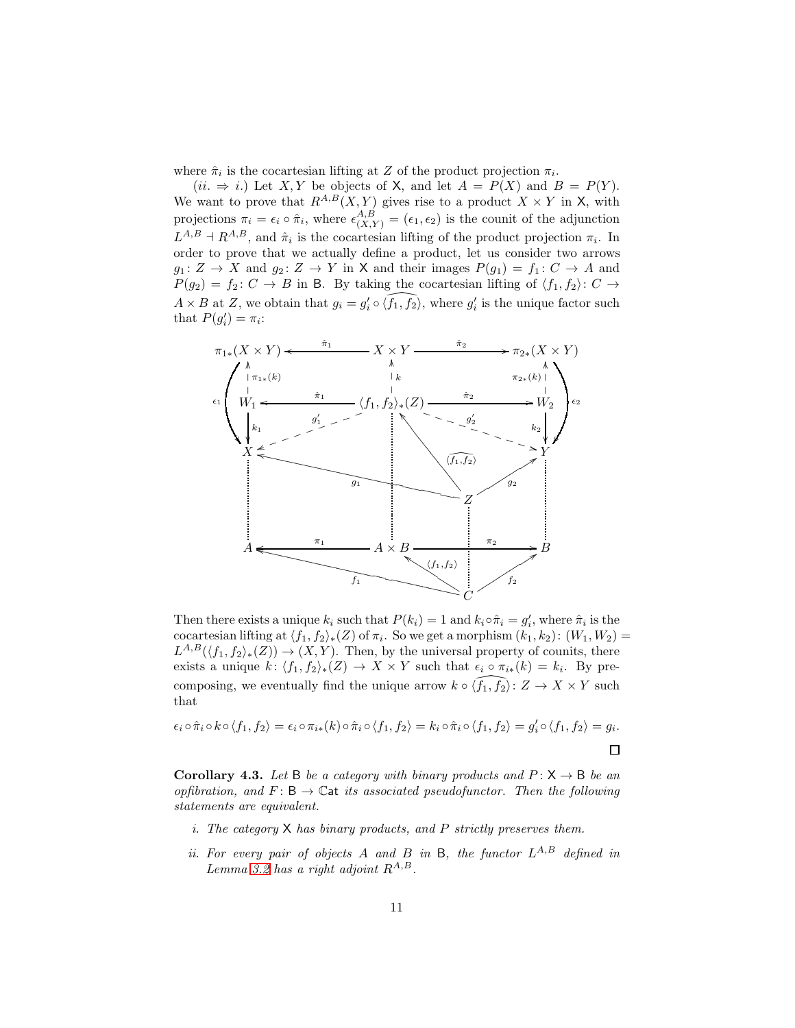where  $\hat{\pi}_i$  is the cocartesian lifting at Z of the product projection  $\pi_i$ .

(ii.  $\Rightarrow$  i.) Let X, Y be objects of X, and let  $A = P(X)$  and  $B = P(Y)$ . We want to prove that  $R^{A,B}(X,Y)$  gives rise to a product  $X \times Y$  in X, with projections  $\pi_i = \epsilon_i \circ \hat{\pi}_i$ , where  $\epsilon_{(X,Y)}^{A,B} = (\epsilon_1, \epsilon_2)$  is the counit of the adjunction  $L^{A,B} \dashv R^{A,B}$ , and  $\hat{\pi}_i$  is the cocartesian lifting of the product projection  $\pi_i$ . In order to prove that we actually define a product, let us consider two arrows  $g_1: Z \to X$  and  $g_2: Z \to Y$  in X and their images  $P(g_1) = f_1: C \to A$  and  $P(g_2) = f_2: C \rightarrow B$  in B. By taking the cocartesian lifting of  $\langle f_1, f_2 \rangle: C \rightarrow$  $A \times B$  at Z, we obtain that  $g_i = g'_i \circ \widehat{\langle f_1, f_2 \rangle}$ , where  $g'_i$  is the unique factor such that  $P(g'_i) = \pi_i$ :



Then there exists a unique  $k_i$  such that  $P(k_i) = 1$  and  $k_i \circ \hat{\pi}_i = g'_i$ , where  $\hat{\pi}_i$  is the cocartesian lifting at  $\langle f_1, f_2 \rangle_*(Z)$  of  $\pi_i$ . So we get a morphism  $(k_1, k_2): (W_1, W_2) =$  $L^{A,B}(\langle f_1, f_2 \rangle_*(Z)) \to (X, Y)$ . Then, by the universal property of counits, there exists a unique  $k: \langle f_1, f_2 \rangle_*(Z) \to X \times Y$  such that  $\epsilon_i \circ \pi_{i*}(k) = k_i$ . By precomposing, we eventually find the unique arrow  $k \circ \widehat{f_1, f_2}$ :  $Z \to X \times Y$  such that

$$
\epsilon_i \circ \hat{\pi}_i \circ k \circ \langle f_1, f_2 \rangle = \epsilon_i \circ \pi_{i*}(k) \circ \hat{\pi}_i \circ \langle f_1, f_2 \rangle = k_i \circ \hat{\pi}_i \circ \langle f_1, f_2 \rangle = g'_i \circ \langle f_1, f_2 \rangle = g_i.
$$

<span id="page-10-0"></span>**Corollary 4.3.** Let B be a category with binary products and  $P: X \rightarrow B$  be an opfibration, and  $F: \mathsf{B} \to \mathbb{C}$  at its associated pseudofunctor. Then the following statements are equivalent.

- i. The category  $X$  has binary products, and  $P$  strictly preserves them.
- ii. For every pair of objects A and B in B, the functor  $L^{A,B}$  defined in Lemma [3.2](#page-7-2) has a right adjoint  $R^{A,B}$ .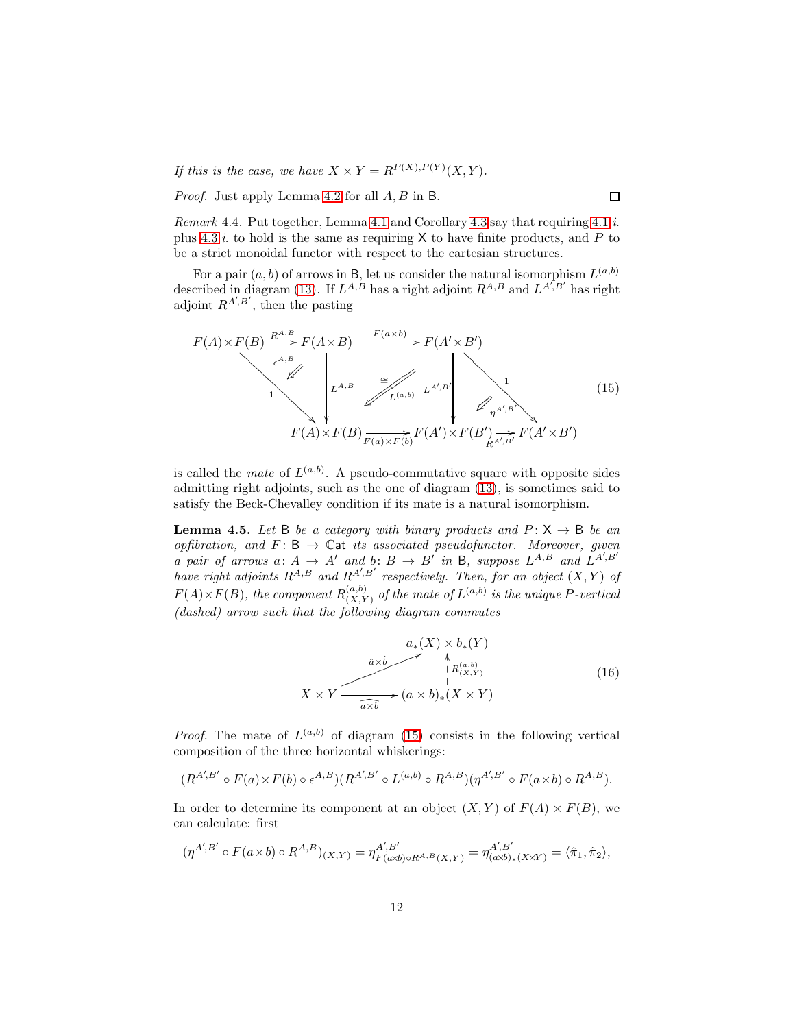If this is the case, we have  $X \times Y = R^{P(X), P(Y)}(X, Y)$ .

Proof. Just apply Lemma [4.2](#page-8-1) for all  $A, B$  in B.

*Remark* 4.4. Put together, Lemma [4.1](#page-8-2) and Corollary [4.3](#page-10-0) say that requiring  $4.1.i$ . plus [4.3.](#page-10-0)*i*. to hold is the same as requiring  $X$  to have finite products, and P to be a strict monoidal functor with respect to the cartesian structures.

For a pair  $(a, b)$  of arrows in B, let us consider the natural isomorphism  $L^{(a,b)}$ described in diagram [\(13\)](#page-7-0). If  $L^{A,B}$  has a right adjoint  $R^{A,B}$  and  $L^{A',B'}$  has right adjoint  $R^{A',B'}$ , then the pasting

<span id="page-11-0"></span>
$$
F(A) \times F(B) \xrightarrow{\underset{\epsilon^{A,B}}{R^{A,B}}} F(A \times B) \xrightarrow{F(a \times b)} F(A' \times B')
$$
\n
$$
F(A) \times F(B) \xrightarrow{\cong} \iint_{L^{(a,b)}} L^{A',B'} \xrightarrow{\underset{\epsilon^{A',B'}}{P(A',B')}} \iint_{\eta^{A',B'}} 1
$$
\n
$$
(15)
$$
\n
$$
F(A) \times F(B) \xrightarrow{\cong} F(A') \times F(B') \xrightarrow{\chi^{A',B'}} F(A' \times B')
$$

is called the *mate* of  $L^{(a,b)}$ . A pseudo-commutative square with opposite sides admitting right adjoints, such as the one of diagram [\(13\)](#page-7-0), is sometimes said to satisfy the Beck-Chevalley condition if its mate is a natural isomorphism.

<span id="page-11-1"></span>**Lemma 4.5.** Let B be a category with binary products and  $P: X \rightarrow B$  be an opfibration, and  $F: B \to \mathbb{C}$  at its associated pseudofunctor. Moreover, given a pair of arrows a:  $A \rightarrow A'$  and b:  $B \rightarrow B'$  in B, suppose  $L^{A,B}$  and  $L^{A',B'}$ have right adjoints  $R^{A,B}$  and  $R^{A',B'}$  respectively. Then, for an object  $(X,Y)$  of  $F(A) \times F(B)$ , the component  $R_{(X,Y)}^{(a,b)}$  $\binom{(a,b)}{(X,Y)}$  of the mate of  $L^{(a,b)}$  is the unique P-vertical (dashed) arrow such that the following diagram commutes

<span id="page-11-2"></span>
$$
X \times Y \xrightarrow{\hat{a} \times \hat{b} \xrightarrow{\hat{a} \times \hat{b}} \qquad \qquad \downarrow} \qquad (16)
$$
\n
$$
X \times Y \xrightarrow{\hat{a} \times \hat{b} \xrightarrow{\hat{a} \times \hat{b}} (a \times b)_* (X \times Y)
$$

*Proof.* The mate of  $L^{(a,b)}$  of diagram [\(15\)](#page-11-0) consists in the following vertical composition of the three horizontal whiskerings:

$$
(R^{A',B'} \circ F(a) \times F(b) \circ \epsilon^{A,B})(R^{A',B'} \circ L^{(a,b)} \circ R^{A,B})(\eta^{A',B'} \circ F(a \times b) \circ R^{A,B}).
$$

In order to determine its component at an object  $(X, Y)$  of  $F(A) \times F(B)$ , we can calculate: first

$$
(\eta^{A',B'} \circ F(a \times b) \circ R^{A,B})_{(X,Y)} = \eta^{A',B'}_{F(a \times b) \circ R^{A,B}(X,Y)} = \eta^{A',B'}_{(a \times b)_*(X \times Y)} = \langle \hat{\pi}_1, \hat{\pi}_2 \rangle,
$$

 $\Box$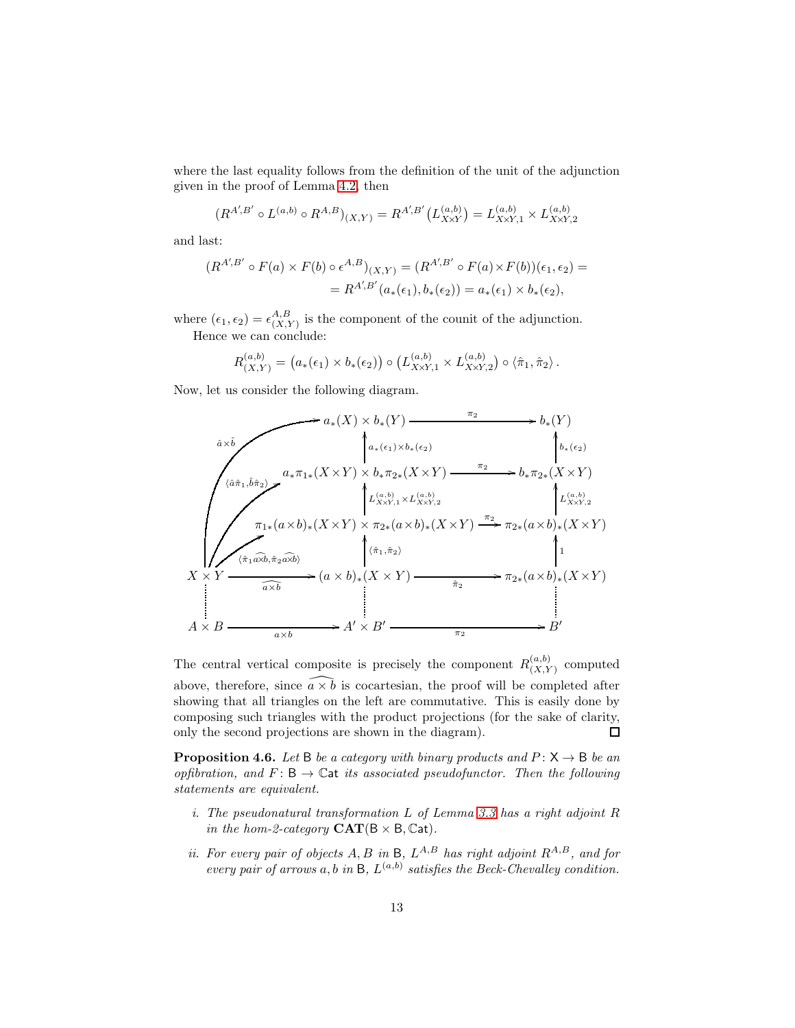where the last equality follows from the definition of the unit of the adjunction given in the proof of Lemma [4.2,](#page-8-1) then

$$
(R^{A',B'} \circ L^{(a,b)} \circ R^{A,B})_{(X,Y)} = R^{A',B'}(L^{(a,b)}_{X\times Y}) = L^{(a,b)}_{X\times Y,1} \times L^{(a,b)}_{X\times Y,2}
$$

and last:

$$
(R^{A',B'} \circ F(a) \times F(b) \circ \epsilon^{A,B})_{(X,Y)} = (R^{A',B'} \circ F(a) \times F(b)) (\epsilon_1, \epsilon_2) =
$$
  
=  $R^{A',B'}(a_*(\epsilon_1), b_*(\epsilon_2)) = a_*(\epsilon_1) \times b_*(\epsilon_2),$ 

where  $(\epsilon_1, \epsilon_2) = \epsilon_{(X,1)}^{A,B}$  $\binom{A,B}{(X,Y)}$  is the component of the counit of the adjunction. Hence we can conclude:

$$
R_{(X,Y)}^{(a,b)} = (a_*(\epsilon_1) \times b_*(\epsilon_2)) \circ (L_{X\times Y,1}^{(a,b)} \times L_{X\times Y,2}^{(a,b)}) \circ \langle \hat{\pi}_1, \hat{\pi}_2 \rangle.
$$

Now, let us consider the following diagram.

$$
\begin{array}{c}\n\hat{a} \times \hat{b} \\
\hat{a} \times \hat{b} \\
\hat{a} \times \hat{b} \\
\hat{a} \times \hat{b} \\
\hat{a} \times \hat{n} \times \hat{n} \times \hat{n} \times \hat{n} \times \hat{n} \times \hat{n} \times \hat{n} \times \hat{n} \times \hat{n} \times \hat{n} \times \hat{n} \times \hat{n} \times \hat{n} \times \hat{n} \times \hat{n} \times \hat{n} \times \hat{n} \times \hat{n} \times \hat{n} \times \hat{n} \times \hat{n} \times \hat{n} \times \hat{n} \times \hat{n} \times \hat{n} \times \hat{n} \times \hat{n} \times \hat{n} \times \hat{n} \times \hat{n} \times \hat{n} \times \hat{n} \times \hat{n} \times \hat{n} \times \hat{n} \times \hat{n} \times \hat{n} \times \hat{n} \times \hat{n} \times \hat{n} \times \hat{n} \times \hat{n} \times \hat{n} \times \hat{n} \times \hat{n} \times \hat{n} \times \hat{n} \times \hat{n} \times \hat{n} \times \hat{n} \times \hat{n} \times \hat{n} \times \hat{n} \times \hat{n} \times \hat{n} \times \hat{n} \times \hat{n} \times \hat{n} \times \hat{n} \times \hat{n} \times \hat{n} \times \hat{n} \times \hat{n} \times \hat{n} \times \hat{n} \times \hat{n} \times \hat{n} \times \hat{n} \times \hat{n} \times \hat{n} \times \hat{n} \times \hat{n} \times \hat{n} \times \hat{n} \times \hat{n} \times \hat{n} \times \hat{n} \times \hat{n} \times \hat{n} \times \hat{n} \times \hat{n} \times \hat{n} \times \hat{n} \times \hat{n} \times \hat{n} \times \hat{n} \times \hat{n} \times \hat{n} \times \hat{n} \times \hat{n} \times \hat{n} \times \hat{n} \times \hat{n} \times \hat{n} \times \hat{n} \times \hat{n} \times \hat{n} \times \hat{n} \times \hat{n} \times \hat{n} \times \hat{n} \times \hat{n} \times \hat{n} \times \hat{n} \times \hat{n} \times \hat{n} \times \hat{n} \times \hat{n} \times \hat{n} \times \hat{n} \times \hat{n} \times \hat{n} \times \hat{n} \times \hat{n} \times \hat{n} \times \hat{n
$$

The central vertical composite is precisely the component  $R_{(XX)}^{(a,b)}$  $\chi^{(a,0)}_{(X,Y)}$  computed above, therefore, since  $\widehat{a} \times \widehat{b}$  is cocartesian, the proof will be completed after showing that all triangles on the left are commutative. This is easily done by composing such triangles with the product projections (for the sake of clarity, only the second projections are shown in the diagram).  $\Box$ 

<span id="page-12-0"></span>**Proposition 4.6.** Let B be a category with binary products and  $P: X \rightarrow B$  be an opfibration, and  $F: B \to \mathbb{C}$ at its associated pseudofunctor. Then the following statements are equivalent.

- i. The pseudonatural transformation L of Lemma [3.3](#page-7-3) has a right adjoint R in the hom-2-category  $CAT(B \times B, Cat)$ .
- ii. For every pair of objects  $A, B$  in  $B, L^{A,B}$  has right adjoint  $R^{A,B}$ , and for every pair of arrows a, b in B,  $L^{(a,b)}$  satisfies the Beck-Chevalley condition.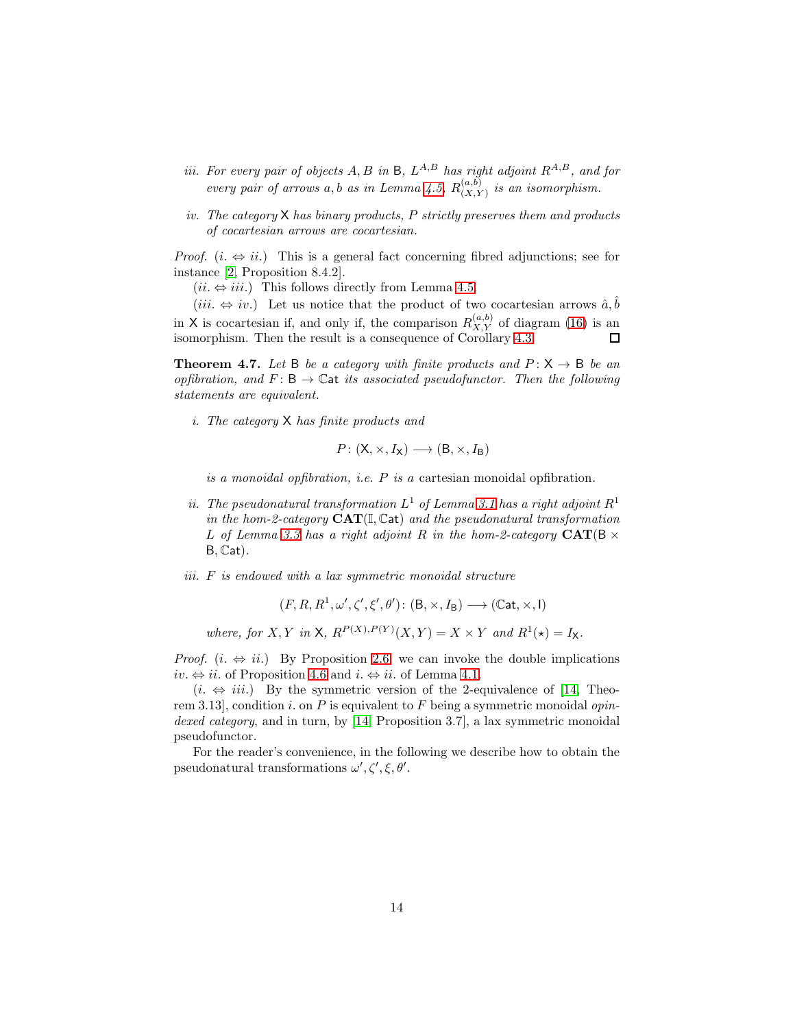- *iii.* For every pair of objects  $A, B$  in  $B, L^{A,B}$  has right adjoint  $R^{A,B}$ , and for every pair of arrows a, b as in Lemma [4.5,](#page-11-1)  $R_{(X)}^{(a,b)}$  $\binom{(a, b)}{(X, Y)}$  is an isomorphism.
- iv. The category  $X$  has binary products, P strictly preserves them and products of cocartesian arrows are cocartesian.

*Proof.*  $(i. \Leftrightarrow ii.)$  This is a general fact concerning fibred adjunctions; see for instance [\[2,](#page-25-9) Proposition 8.4.2].

 $(ii. \Leftrightarrow iii.)$  This follows directly from Lemma [4.5.](#page-11-1)

(*iii.*  $\Leftrightarrow iv$ .) Let us notice that the product of two cocartesian arrows  $\hat{a}, \hat{b}$ in X is cocartesian if, and only if, the comparison  $R_{X,Y}^{(a,b)}$  of diagram [\(16\)](#page-11-2) is an isomorphism. Then the result is a consequence of Corollary [4.3.](#page-10-0) 口

<span id="page-13-0"></span>**Theorem 4.7.** Let B be a category with finite products and  $P: X \rightarrow B$  be an opfibration, and  $F: \mathsf{B} \to \mathbb{C}$  at its associated pseudofunctor. Then the following statements are equivalent.

i. The category X has finite products and

$$
P: (\mathsf{X}, \times, I_{\mathsf{X}}) \longrightarrow (\mathsf{B}, \times, I_{\mathsf{B}})
$$

is a monoidal opfibration, i.e.  $P$  is a cartesian monoidal opfibration.

- ii. The pseudonatural transformation  $L^1$  of Lemma [3.1](#page-7-1) has a right adjoint  $R^1$ in the hom-2-category  $CAT(\mathbb{I}, \mathbb{C}at)$  and the pseudonatural transformation L of Lemma [3.3](#page-7-3) has a right adjoint R in the hom-2-category  $CAT(B \times$  $B, Cat$ ).
- iii. F is endowed with a lax symmetric monoidal structure

$$
(F, R, R^1, \omega', \zeta', \xi', \theta') \colon (\mathsf{B}, \times, I_{\mathsf{B}}) \longrightarrow (\mathbb{C}\mathsf{at}, \times, \mathsf{I})
$$

where, for X, Y in X,  $R^{P(X), P(Y)}(X, Y) = X \times Y$  and  $R^1(\star) = I_X$ .

*Proof.*  $(i. \Leftrightarrow ii.)$  By Proposition [2.6,](#page-6-0) we can invoke the double implications iv.  $\Leftrightarrow ii$ . of Proposition [4.6](#page-12-0) and  $i \Leftrightarrow ii$ . of Lemma [4.1.](#page-8-2)

 $(i. \Leftrightarrow iii.)$  By the symmetric version of the 2-equivalence of [\[14,](#page-25-2) Theorem 3.13], condition i. on  $P$  is equivalent to  $F$  being a symmetric monoidal *opin*-dexed category, and in turn, by [\[14,](#page-25-2) Proposition 3.7], a lax symmetric monoidal pseudofunctor.

For the reader's convenience, in the following we describe how to obtain the pseudonatural transformations  $\omega', \zeta', \xi, \theta'$ .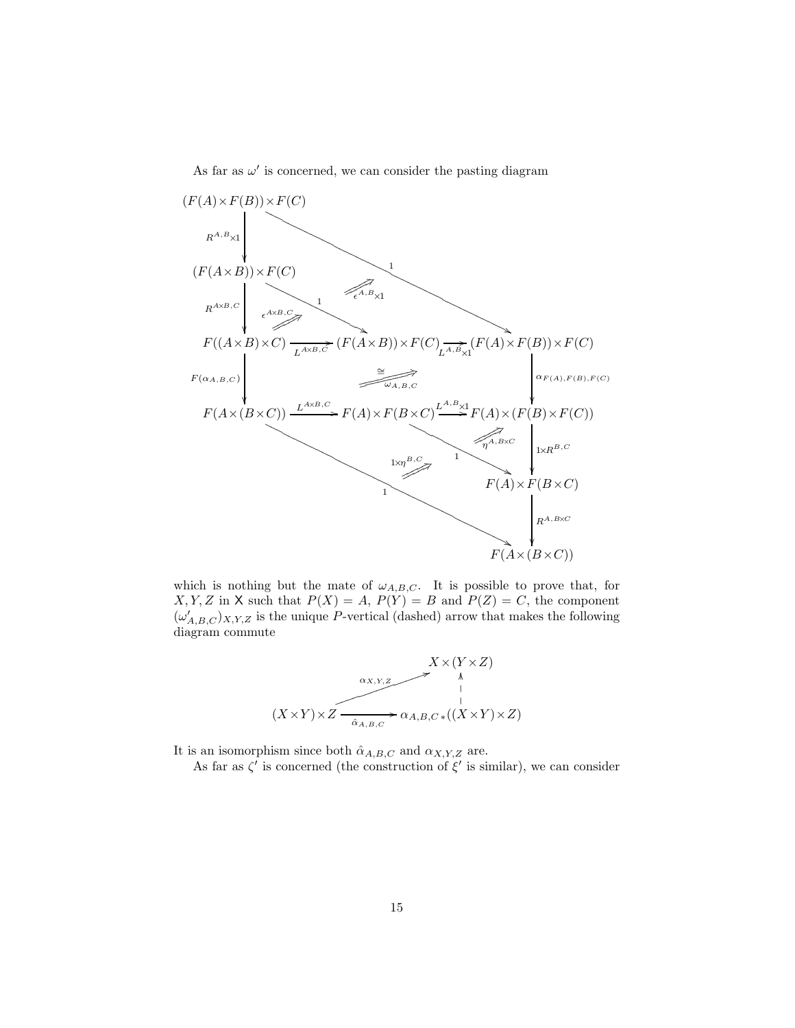As far as  $\omega'$  is concerned, we can consider the pasting diagram



which is nothing but the mate of  $\omega_{A,B,C}$ . It is possible to prove that, for  $X, Y, Z$  in X such that  $P(X) = A$ ,  $P(Y) = B$  and  $P(Z) = C$ , the component  $(\omega'_{A,B,C})_{X,Y,Z}$  is the unique P-vertical (dashed) arrow that makes the following diagram commute



It is an isomorphism since both  $\hat{\alpha}_{A,B,C}$  and  $\alpha_{X,Y,Z}$  are.

As far as  $\zeta'$  is concerned (the construction of  $\xi'$  is similar), we can consider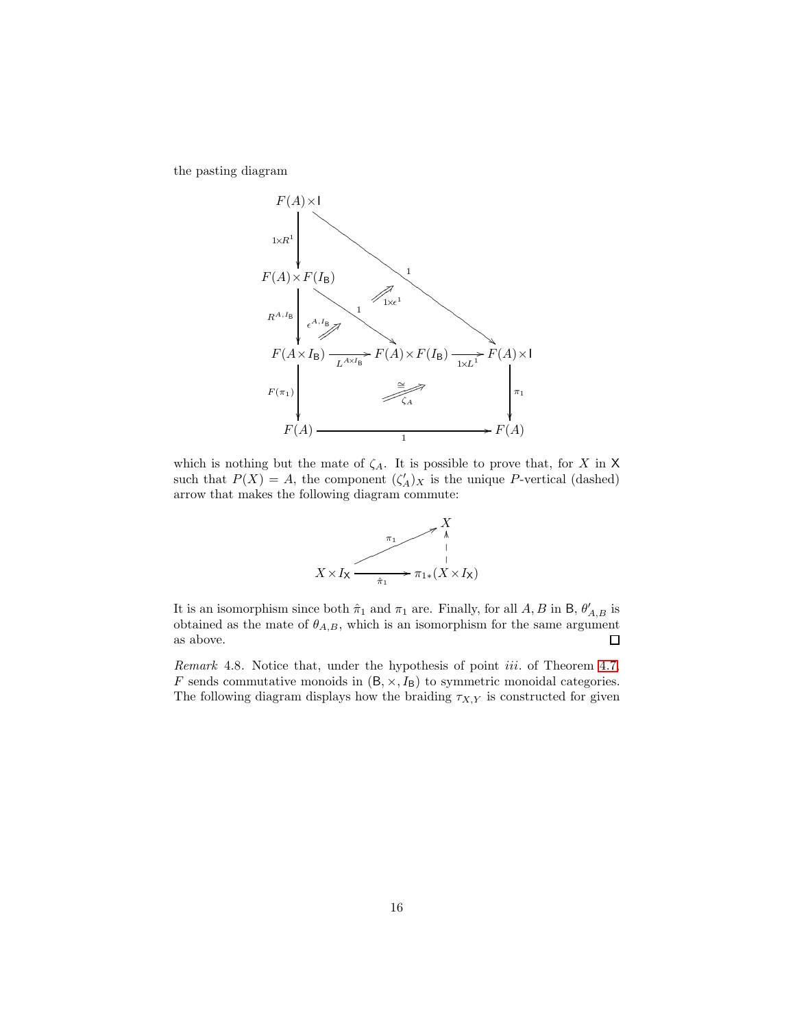the pasting diagram



which is nothing but the mate of  $\zeta_A$ . It is possible to prove that, for X in X such that  $P(X) = A$ , the component  $(\zeta'_A)_X$  is the unique P-vertical (dashed) arrow that makes the following diagram commute:



It is an isomorphism since both  $\hat{\pi}_1$  and  $\pi_1$  are. Finally, for all A, B in B,  $\theta'_{A,B}$  is obtained as the mate of  $\theta_{A,B}$ , which is an isomorphism for the same argument as above.  $\Box$ 

<span id="page-15-0"></span>Remark 4.8. Notice that, under the hypothesis of point *iii*. of Theorem [4.7,](#page-13-0) F sends commutative monoids in  $(B, \times, I_B)$  to symmetric monoidal categories. The following diagram displays how the braiding  $\tau_{X,Y}$  is constructed for given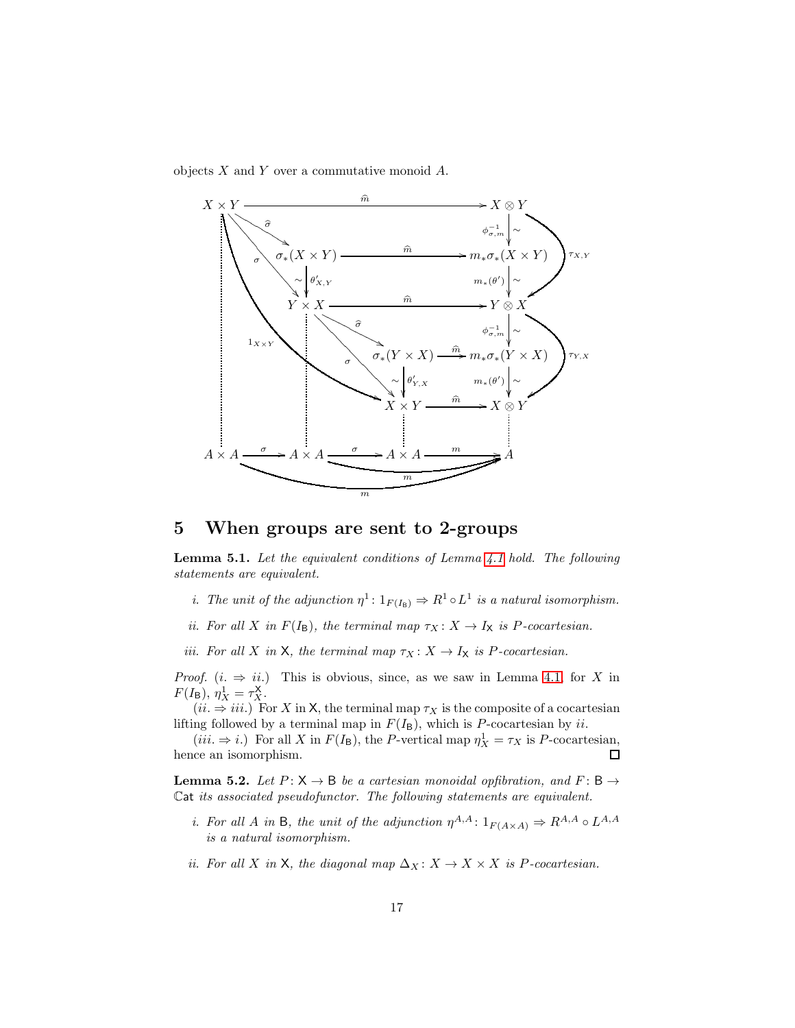objects  $X$  and  $Y$  over a commutative monoid  $A$ .



## 5 When groups are sent to 2-groups

<span id="page-16-0"></span>Lemma 5.1. Let the equivalent conditions of Lemma [4.1](#page-8-2) hold. The following statements are equivalent.

- *i*. The unit of the adjunction  $\eta^1: 1_{F(I_B)} \Rightarrow R^1 \circ L^1$  is a natural isomorphism.
- ii. For all X in  $F(I_B)$ , the terminal map  $\tau_X : X \to I_X$  is P-cocartesian.
- iii. For all X in X, the terminal map  $\tau_X : X \to I_X$  is P-cocartesian.

*Proof.*  $(i. \Rightarrow ii.)$  This is obvious, since, as we saw in Lemma [4.1,](#page-8-2) for X in  $F(I_{\rm B}), \eta_X^1 = \tau_X^{\rm X}.$ 

 $(ii. \Rightarrow iii.)$  For X in X, the terminal map  $\tau_X$  is the composite of a cocartesian lifting followed by a terminal map in  $F(I_B)$ , which is P-cocartesian by ii.

 $(iii. \Rightarrow i.)$  For all X in  $F(I_B)$ , the P-vertical map  $\eta_X^1 = \tau_X$  is P-cocartesian, hence an isomorphism.

<span id="page-16-1"></span>**Lemma 5.2.** Let  $P: X \rightarrow B$  be a cartesian monoidal opfibration, and  $F: B \rightarrow$ Cat its associated pseudofunctor. The following statements are equivalent.

- *i.* For all A in B, the unit of the adjunction  $\eta^{A,A}: 1_{F(A \times A)} \Rightarrow R^{A,A} \circ L^{A,A}$ is a natural isomorphism.
- ii. For all X in X, the diagonal map  $\Delta_X: X \to X \times X$  is P-cocartesian.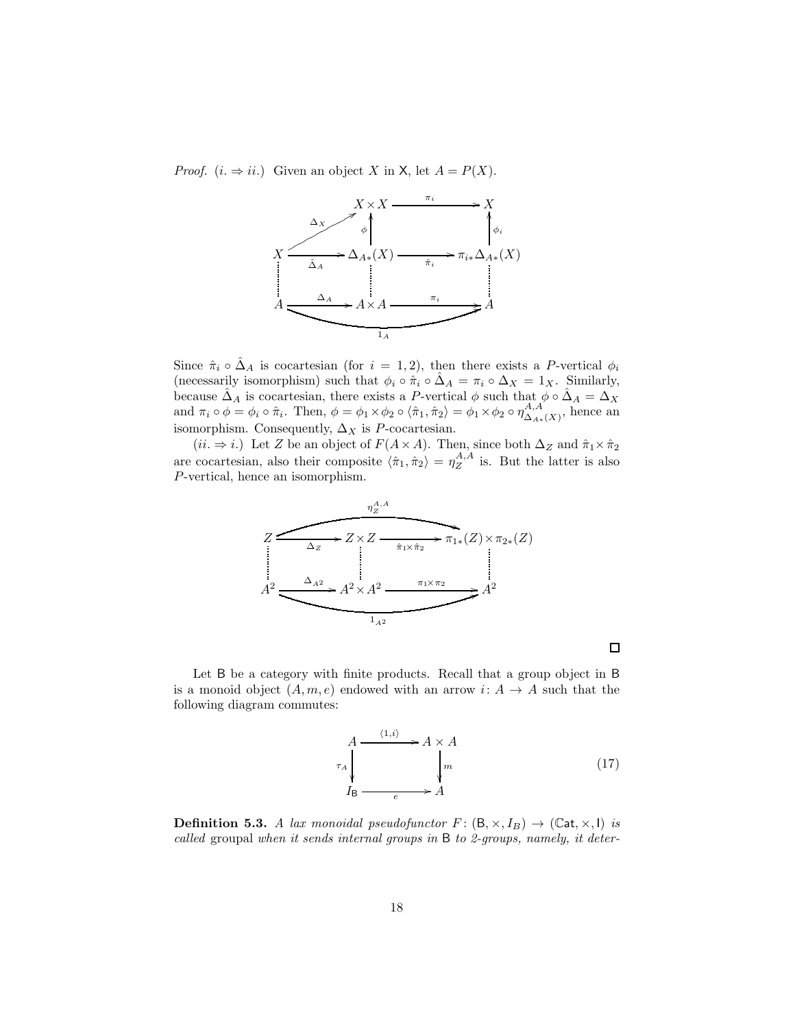*Proof.*  $(i. \Rightarrow ii.)$  Given an object X in X, let  $A = P(X)$ .



Since  $\hat{\pi}_i \circ \hat{\Delta}_A$  is cocartesian (for  $i = 1, 2$ ), then there exists a P-vertical  $\phi_i$ (necessarily isomorphism) such that  $\phi_i \circ \hat{\pi}_i \circ \hat{\Delta}_A = \pi_i \circ \Delta_X = 1_X$ . Similarly, because  $\hat{\Delta}_A$  is cocartesian, there exists a P-vertical  $\phi$  such that  $\phi \circ \hat{\Delta}_A = \Delta_X$ and  $\pi_i \circ \phi = \phi_i \circ \hat{\pi}_i$ . Then,  $\phi = \phi_1 \times \phi_2 \circ \langle \hat{\pi}_1, \hat{\pi}_2 \rangle = \phi_1 \times \phi_2 \circ \eta_{\Delta, \hat{\pi}}^{A, A}$  $\Delta_{A*}(X)$ , hence an isomorphism. Consequently,  $\Delta_X$  is P-cocartesian.

 $(ii. \Rightarrow i.)$  Let Z be an object of  $F(A \times A)$ . Then, since both  $\Delta_Z$  and  $\hat{\pi}_1 \times \hat{\pi}_2$ are cocartesian, also their composite  $\langle \hat{\pi}_1, \hat{\pi}_2 \rangle = \eta_Z^{A,A}$  is. But the latter is also P-vertical, hence an isomorphism.



Let B be a category with finite products. Recall that a group object in B is a monoid object  $(A, m, e)$  endowed with an arrow  $i: A \rightarrow A$  such that the following diagram commutes:

$$
A \xrightarrow{\langle 1,i \rangle} A \times A
$$
\n
$$
\downarrow n
$$
\n
$$
I_{\text{B}} \xrightarrow{\qquad \qquad} A
$$
\n
$$
(17)
$$

 $\Box$ 

<span id="page-17-0"></span>**Definition 5.3.** A lax monoidal pseudofunctor  $F : (\mathsf{B}, \times, I_B) \to (\mathbb{C}at, \times, I)$  is called groupal when it sends internal groups in B to 2-groups, namely, it deter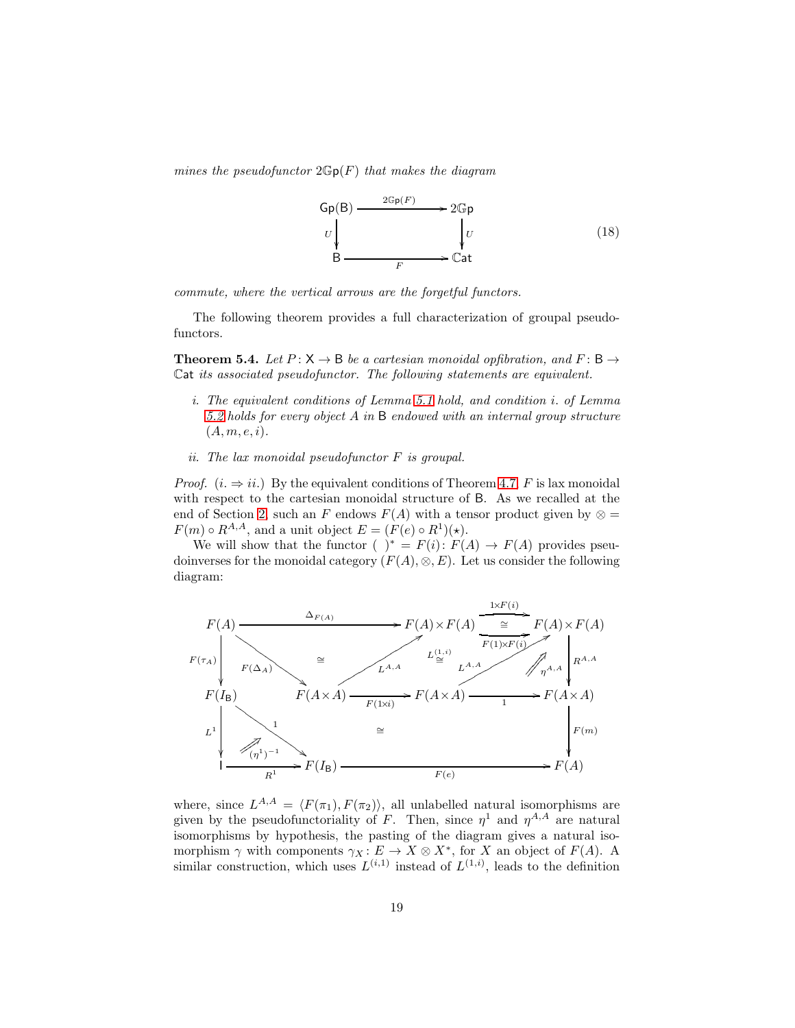mines the pseudofunctor  $2\mathbb{G}p(F)$  that makes the diagram

<span id="page-18-1"></span>

commute, where the vertical arrows are the forgetful functors.

The following theorem provides a full characterization of groupal pseudofunctors.

<span id="page-18-0"></span>**Theorem 5.4.** Let  $P: X \rightarrow B$  be a cartesian monoidal opfibration, and  $F: B \rightarrow$ Cat its associated pseudofunctor. The following statements are equivalent.

- i. The equivalent conditions of Lemma [5.1](#page-16-0) hold, and condition i. of Lemma [5.2](#page-16-1) holds for every object A in B endowed with an internal group structure  $(A, m, e, i).$
- ii. The lax monoidal pseudofunctor F is groupal.

*Proof.*  $(i. \Rightarrow ii.)$  By the equivalent conditions of Theorem [4.7,](#page-13-0) F is lax monoidal with respect to the cartesian monoidal structure of B. As we recalled at the end of Section [2,](#page-2-0) such an F endows  $F(A)$  with a tensor product given by  $\otimes$  =  $F(m) \circ R^{A,A}$ , and a unit object  $E = (F(e) \circ R^1)(\star)$ .

We will show that the functor ( )<sup>\*</sup> =  $F(i): F(A) \rightarrow F(A)$  provides pseudoinverses for the monoidal category  $(F(A), \otimes, E)$ . Let us consider the following diagram:



where, since  $L^{A,A} = \langle F(\pi_1), F(\pi_2) \rangle$ , all unlabelled natural isomorphisms are given by the pseudofunctoriality of F. Then, since  $\eta^1$  and  $\eta^{A,A}$  are natural isomorphisms by hypothesis, the pasting of the diagram gives a natural isomorphism  $\gamma$  with components  $\gamma_X : E \to X \otimes X^*$ , for X an object of  $F(A)$ . A similar construction, which uses  $L^{(i,1)}$  instead of  $L^{(1,i)}$ , leads to the definition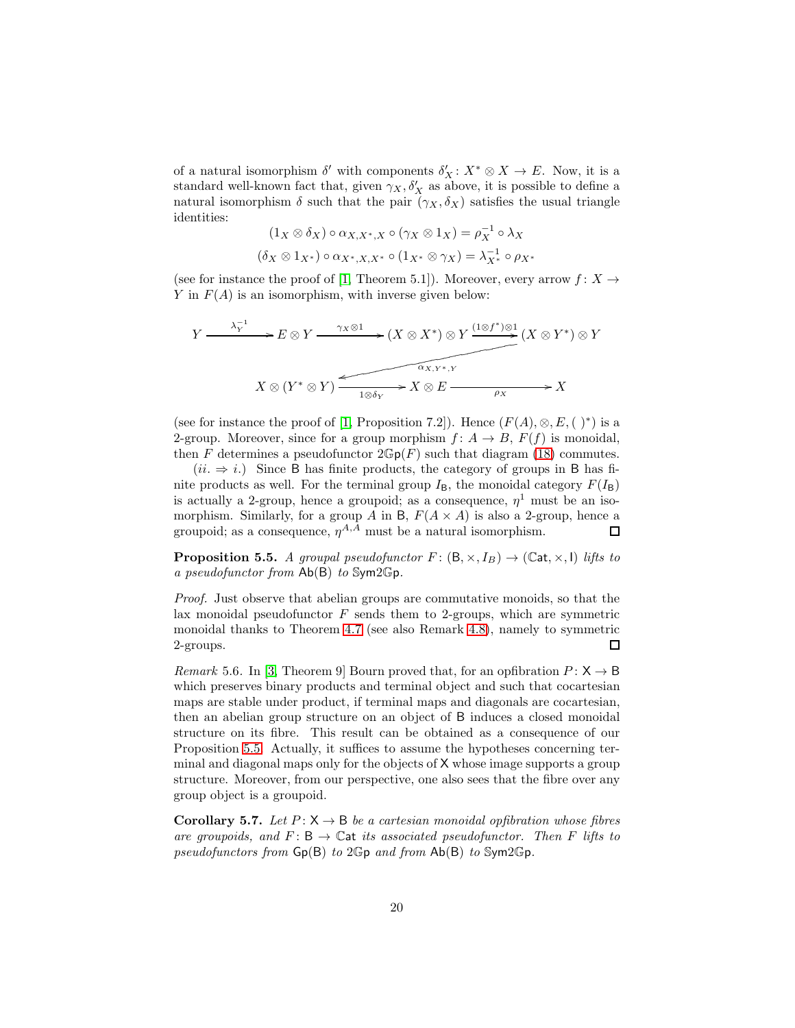of a natural isomorphism  $\delta'$  with components  $\delta'_{X}: X^* \otimes X \to E$ . Now, it is a standard well-known fact that, given  $\gamma_X, \delta'_X$  as above, it is possible to define a natural isomorphism  $\delta$  such that the pair  $(\gamma_X, \delta_X)$  satisfies the usual triangle identities:

$$
(1_X \otimes \delta_X) \circ \alpha_{X,X^*,X} \circ (\gamma_X \otimes 1_X) = \rho_X^{-1} \circ \lambda_X
$$

$$
(\delta_X \otimes 1_{X^*}) \circ \alpha_{X^*,X,X^*} \circ (1_{X^*} \otimes \gamma_X) = \lambda_{X^*}^{-1} \circ \rho_{X^*}
$$

(see for instance the proof of [\[1,](#page-24-0) Theorem 5.1]). Moreover, every arrow  $f: X \rightarrow$ Y in  $F(A)$  is an isomorphism, with inverse given below:

$$
Y \xrightarrow{\lambda_Y^{-1}} E \otimes Y \xrightarrow{\gamma_X \otimes 1} (X \otimes X^*) \otimes Y \xrightarrow{(1 \otimes f^*) \otimes 1} (X \otimes Y^*) \otimes Y
$$

$$
X \otimes (Y^* \otimes Y) \xrightarrow{\alpha_{X,Y^*,Y}} X \otimes E \xrightarrow{\rho_X} X
$$

(see for instance the proof of [\[1,](#page-24-0) Proposition 7.2]). Hence  $(F(A), \otimes, E, ( )^*)$  is a 2-group. Moreover, since for a group morphism  $f: A \rightarrow B$ ,  $F(f)$  is monoidal, then F determines a pseudofunctor  $2\mathbb{G}p(F)$  such that diagram [\(18\)](#page-18-1) commutes.

 $(ii. \Rightarrow i.)$  Since B has finite products, the category of groups in B has finite products as well. For the terminal group  $I_{\text{B}}$ , the monoidal category  $F(I_{\text{B}})$ is actually a 2-group, hence a groupoid; as a consequence,  $\eta^1$  must be an isomorphism. Similarly, for a group A in B,  $F(A \times A)$  is also a 2-group, hence a groupoid; as a consequence,  $\eta^{A,A}$  must be a natural isomorphism.  $\Box$ 

<span id="page-19-1"></span>**Proposition 5.5.** A groupal pseudofunctor  $F: (\mathsf{B}, \times, I_B) \to (\mathbb{C}at, \times, \mathsf{I})$  lifts to a pseudofunctor from  $Ab(B)$  to Sym2Gp.

Proof. Just observe that abelian groups are commutative monoids, so that the lax monoidal pseudofunctor  $F$  sends them to 2-groups, which are symmetric monoidal thanks to Theorem [4.7](#page-13-0) (see also Remark [4.8\)](#page-15-0), namely to symmetric 2-groups.  $\Box$ 

Remark 5.6. In [\[3,](#page-25-10) Theorem 9] Bourn proved that, for an opfibration  $P: X \rightarrow B$ which preserves binary products and terminal object and such that cocartesian maps are stable under product, if terminal maps and diagonals are cocartesian, then an abelian group structure on an object of B induces a closed monoidal structure on its fibre. This result can be obtained as a consequence of our Proposition [5.5.](#page-19-1) Actually, it suffices to assume the hypotheses concerning terminal and diagonal maps only for the objects of X whose image supports a group structure. Moreover, from our perspective, one also sees that the fibre over any group object is a groupoid.

<span id="page-19-0"></span>**Corollary 5.7.** Let  $P: X \to B$  be a cartesian monoidal opfibration whose fibres are groupoids, and  $F: \mathsf{B} \to \mathbb{C}$  at its associated pseudofunctor. Then F lifts to pseudofunctors from  $Gp(B)$  to  $2Gp$  and from  $Ab(B)$  to Sym $2Gp$ .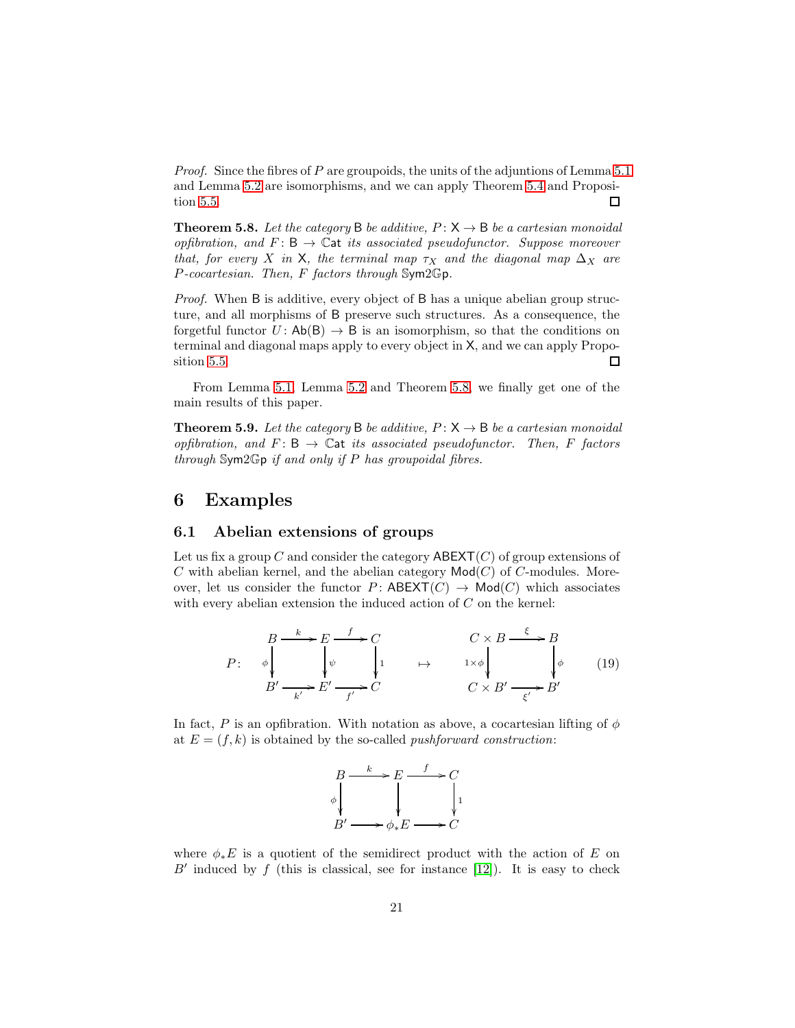*Proof.* Since the fibres of P are groupoids, the units of the adjuntions of Lemma [5.1](#page-16-0) and Lemma [5.2](#page-16-1) are isomorphisms, and we can apply Theorem [5.4](#page-18-0) and Proposition [5.5.](#page-19-1) □

<span id="page-20-0"></span>**Theorem 5.8.** Let the category B be additive,  $P: X \rightarrow B$  be a cartesian monoidal opfibration, and  $F: B \to \mathbb{C}$  at its associated pseudofunctor. Suppose moreover that, for every X in X, the terminal map  $\tau_X$  and the diagonal map  $\Delta_X$  are P-cocartesian. Then, F factors through Sym2Gp.

Proof. When B is additive, every object of B has a unique abelian group structure, and all morphisms of B preserve such structures. As a consequence, the forgetful functor  $U: Ab(B) \to B$  is an isomorphism, so that the conditions on terminal and diagonal maps apply to every object in X, and we can apply Proposition [5.5.](#page-19-1)  $\Box$ 

From Lemma [5.1,](#page-16-0) Lemma [5.2](#page-16-1) and Theorem [5.8,](#page-20-0) we finally get one of the main results of this paper.

<span id="page-20-1"></span>**Theorem 5.9.** Let the category B be additive,  $P: X \rightarrow B$  be a cartesian monoidal opfibration, and  $F: \mathsf{B} \to \mathbb{C}$  at its associated pseudofunctor. Then, F factors through  $Sym2Gp$  if and only if P has groupoidal fibres.

#### 6 Examples

#### <span id="page-20-2"></span>6.1 Abelian extensions of groups

Let us fix a group  $C$  and consider the category  $ABEXT(C)$  of group extensions of C with abelian kernel, and the abelian category  $\mathsf{Mod}(C)$  of C-modules. Moreover, let us consider the functor  $P:$  ABEXT $(C) \rightarrow \text{Mod}(C)$  which associates with every abelian extension the induced action of C on the kernel:

$$
P: \quad \phi \downarrow \qquad \downarrow \qquad \downarrow \qquad \downarrow \qquad \downarrow \qquad \qquad \downarrow \qquad \downarrow \qquad \downarrow \qquad \downarrow \qquad \downarrow \qquad \downarrow \qquad \downarrow \qquad \downarrow \qquad \downarrow \qquad \downarrow \qquad \downarrow \qquad \downarrow \qquad \downarrow \qquad \downarrow \qquad \downarrow \qquad \downarrow \qquad \downarrow \qquad \downarrow \qquad \downarrow \qquad \downarrow \qquad \downarrow \qquad \downarrow \qquad \downarrow \qquad \downarrow \qquad \downarrow \qquad \downarrow \qquad \downarrow \qquad \downarrow \qquad \downarrow \qquad \downarrow \qquad \downarrow \qquad \downarrow \qquad \downarrow \qquad \downarrow \qquad \downarrow \qquad \downarrow \qquad \downarrow \qquad \downarrow \qquad \downarrow \qquad \downarrow \qquad \downarrow \qquad \downarrow \qquad \downarrow \qquad \downarrow \qquad \downarrow \qquad \downarrow \qquad \downarrow \qquad \downarrow \qquad \downarrow \qquad \downarrow \qquad \downarrow \qquad \downarrow \qquad \downarrow \qquad \downarrow \qquad \downarrow \qquad \downarrow \qquad \downarrow \qquad \downarrow \qquad \downarrow \qquad \downarrow \qquad \downarrow \qquad \downarrow \qquad \downarrow \qquad \downarrow \qquad \downarrow \qquad \downarrow \qquad \downarrow \qquad \downarrow \qquad \downarrow \qquad \downarrow \qquad \downarrow \qquad \downarrow \qquad \downarrow \qquad \downarrow \qquad \downarrow \qquad \downarrow \qquad \downarrow \qquad \downarrow \qquad \downarrow \qquad \downarrow \qquad \downarrow \qquad \downarrow \qquad \downarrow \qquad \downarrow \qquad \downarrow \qquad \downarrow \qquad \downarrow \qquad \downarrow \qquad \downarrow \qquad \downarrow \qquad \downarrow \qquad \downarrow \qquad \downarrow \qquad \downarrow \qquad \downarrow \qquad \downarrow \qquad \downarrow \qquad \downarrow \qquad \downarrow \qquad \downarrow \qquad \downarrow \qquad \downarrow \qquad \downarrow \qquad \downarrow \qquad \downarrow \qquad \downarrow \qquad \downarrow \qquad \downarrow \qquad \downarrow \qquad \downarrow \qquad \downarrow \qquad \downarrow \qquad \downarrow \qquad \downarrow \qquad \downarrow \qquad \downarrow \qquad \downarrow \qquad \downarrow \qquad \downarrow \qquad \downarrow \qquad
$$

In fact, P is an opfibration. With notation as above, a cocartesian lifting of  $\phi$ at  $E = (f, k)$  is obtained by the so-called *pushforward construction*:



where  $\phi_*E$  is a quotient of the semidirect product with the action of E on  $B'$  induced by  $f$  (this is classical, see for instance [\[12\]](#page-25-11)). It is easy to check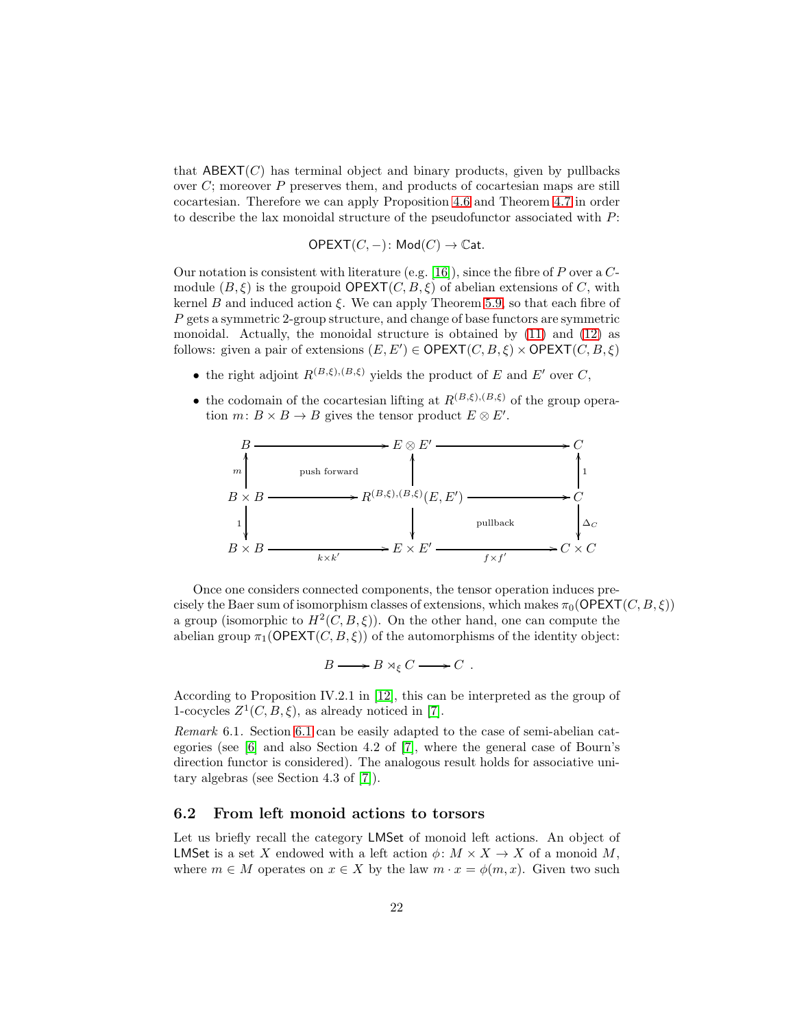that  $ABEXT(C)$  has terminal object and binary products, given by pullbacks over  $C$ ; moreover  $P$  preserves them, and products of cocartesian maps are still cocartesian. Therefore we can apply Proposition [4.6](#page-12-0) and Theorem [4.7](#page-13-0) in order to describe the lax monoidal structure of the pseudofunctor associated with P:

$$
\mathsf{OPEXT}(C,-)\colon \mathsf{Mod}(C)\to \mathbb{C}\mathrm{at}.
$$

Our notation is consistent with literature (e.g. [\[16\]](#page-25-3)), since the fibre of  $P$  over a  $C$ module  $(B,\xi)$  is the groupoid **OPEXT** $(C, B, \xi)$  of abelian extensions of C, with kernel B and induced action  $\xi$ . We can apply Theorem [5.9,](#page-20-1) so that each fibre of  $P$  gets a symmetric 2-group structure, and change of base functors are symmetric monoidal. Actually, the monoidal structure is obtained by [\(11\)](#page-6-1) and [\(12\)](#page-6-2) as follows: given a pair of extensions  $(E, E') \in \text{OPEXT}(C, B, \xi) \times \text{OPEXT}(C, B, \xi)$ 

- the right adjoint  $R^{(B,\xi),(B,\xi)}$  yields the product of E and E' over C,
- the codomain of the cocartesian lifting at  $R^{(B,\xi),(B,\xi)}$  of the group operation  $m: B \times B \to B$  gives the tensor product  $E \otimes E'$ .



Once one considers connected components, the tensor operation induces precisely the Baer sum of isomorphism classes of extensions, which makes  $\pi_0(\mathsf{OPEXT}(C, B, \xi))$ a group (isomorphic to  $H^2(C, B, \xi)$ ). On the other hand, one can compute the abelian group  $\pi_1(\mathsf{OPEXT}(C, B, \xi))$  of the automorphisms of the identity object:

$$
B \longrightarrow B \rtimes_{\xi} C \longrightarrow C .
$$

According to Proposition IV.2.1 in [\[12\]](#page-25-11), this can be interpreted as the group of 1-cocycles  $Z^1(C, B, \xi)$ , as already noticed in [\[7\]](#page-25-12).

Remark 6.1. Section [6.1](#page-20-2) can be easily adapted to the case of semi-abelian categories (see [\[6\]](#page-25-13) and also Section 4.2 of [\[7\]](#page-25-12), where the general case of Bourn's direction functor is considered). The analogous result holds for associative unitary algebras (see Section 4.3 of [\[7\]](#page-25-12)).

#### <span id="page-21-0"></span>6.2 From left monoid actions to torsors

Let us briefly recall the category LMSet of monoid left actions. An object of LMSet is a set X endowed with a left action  $\phi \colon M \times X \to X$  of a monoid M, where  $m \in M$  operates on  $x \in X$  by the law  $m \cdot x = \phi(m, x)$ . Given two such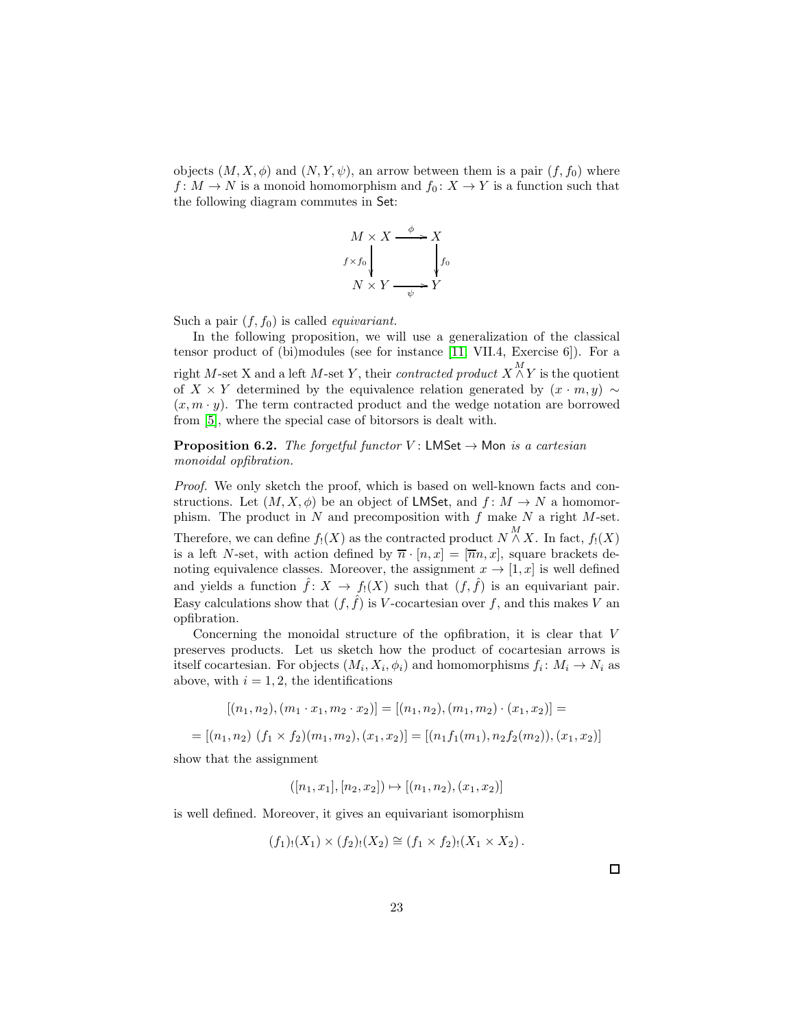objects  $(M, X, \phi)$  and  $(N, Y, \psi)$ , an arrow between them is a pair  $(f, f_0)$  where  $f\colon M\to N$  is a monoid homomorphism and  $f_0\colon X\to Y$  is a function such that the following diagram commutes in Set:

$$
M \times X \xrightarrow{\phi} X
$$
  
\n $f \times f_0$   
\n $N \times Y \xrightarrow{\phi} Y$ 

Such a pair  $(f, f_0)$  is called *equivariant*.

In the following proposition, we will use a generalization of the classical tensor product of (bi)modules (see for instance [\[11,](#page-25-14) VII.4, Exercise 6]). For a right M-set X and a left M-set Y, their *contracted product*  $X \overset{M}{\wedge} Y$  is the quotient of X × Y determined by the equivalence relation generated by  $(x \cdot m, y) \sim$  $(x, m \cdot y)$ . The term contracted product and the wedge notation are borrowed from [\[5\]](#page-25-5), where the special case of bitorsors is dealt with.

<span id="page-22-0"></span>**Proposition 6.2.** The forgetful functor V: LMSet  $\rightarrow$  Mon is a cartesian monoidal opfibration.

Proof. We only sketch the proof, which is based on well-known facts and constructions. Let  $(M, X, \phi)$  be an object of LMSet, and  $f: M \to N$  a homomorphism. The product in  $N$  and precomposition with  $f$  make  $N$  a right  $M$ -set. Therefore, we can define  $f_!(X)$  as the contracted product  $N \stackrel{M}{\wedge} X$ . In fact,  $f_!(X)$ is a left N-set, with action defined by  $\overline{n} \cdot [n, x] = [\overline{n}n, x]$ , square brackets denoting equivalence classes. Moreover, the assignment  $x \to [1, x]$  is well defined and yields a function  $\hat{f}: X \to f_!(X)$  such that  $(f, \hat{f})$  is an equivariant pair. Easy calculations show that  $(f, \hat{f})$  is V-cocartesian over f, and this makes V an opfibration.

Concerning the monoidal structure of the opfibration, it is clear that V preserves products. Let us sketch how the product of cocartesian arrows is itself cocartesian. For objects  $(M_i, X_i, \phi_i)$  and homomorphisms  $f_i: M_i \to N_i$  as above, with  $i = 1, 2$ , the identifications

$$
[(n_1, n_2), (m_1 \cdot x_1, m_2 \cdot x_2)] = [(n_1, n_2), (m_1, m_2) \cdot (x_1, x_2)] =
$$
  
= 
$$
[(n_1, n_2) (f_1 \times f_2)(m_1, m_2), (x_1, x_2)] = [(n_1 f_1(m_1), n_2 f_2(m_2)), (x_1, x_2)]
$$

show that the assignment

$$
([n_1, x_1], [n_2, x_2]) \mapsto [(n_1, n_2), (x_1, x_2)]
$$

is well defined. Moreover, it gives an equivariant isomorphism

$$
(f_1)_!(X_1) \times (f_2)_!(X_2) \cong (f_1 \times f_2)_!(X_1 \times X_2).
$$

 $\Box$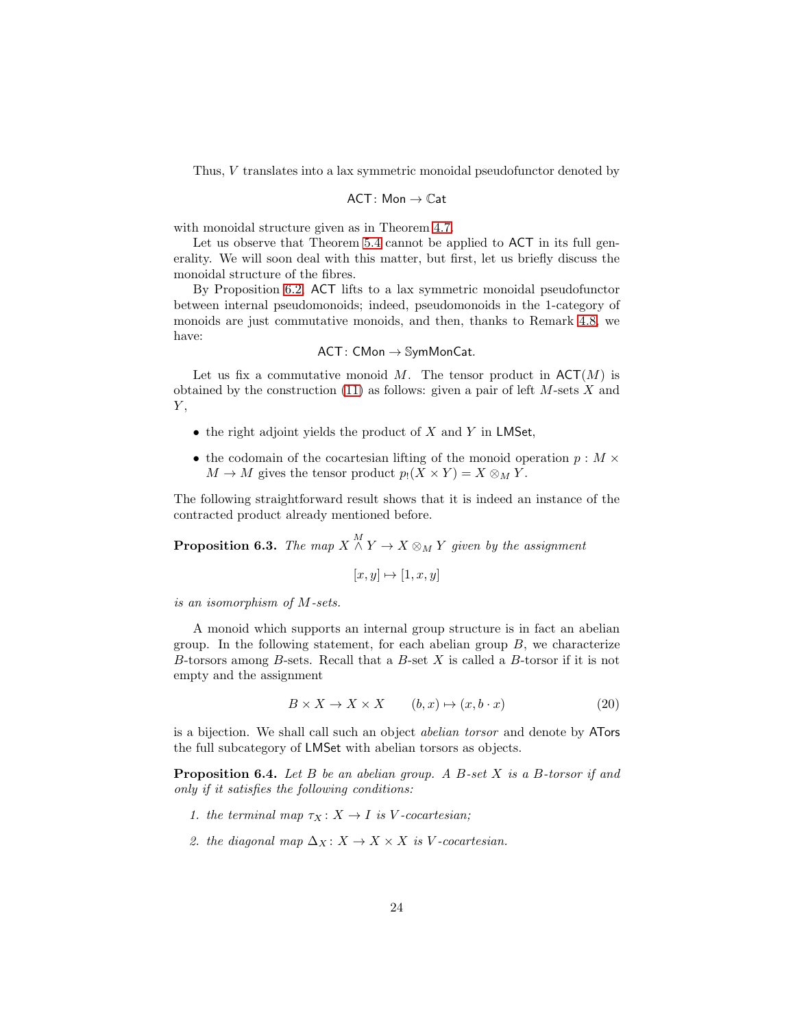Thus, V translates into a lax symmetric monoidal pseudofunctor denoted by

$$
\mathsf{ACT}\colon \mathsf{Mon}\to \mathbb{C}\mathsf{at}
$$

with monoidal structure given as in Theorem [4.7.](#page-13-0)

Let us observe that Theorem [5.4](#page-18-0) cannot be applied to ACT in its full generality. We will soon deal with this matter, but first, let us briefly discuss the monoidal structure of the fibres.

By Proposition [6.2,](#page-22-0) ACT lifts to a lax symmetric monoidal pseudofunctor between internal pseudomonoids; indeed, pseudomonoids in the 1-category of monoids are just commutative monoids, and then, thanks to Remark [4.8,](#page-15-0) we have:

$$
\mathsf{ACT}\colon \mathsf{CMon}\to \mathbb{SymMonCat}.
$$

Let us fix a commutative monoid M. The tensor product in  $\mathsf{ACT}(M)$  is obtained by the construction  $(11)$  as follows: given a pair of left M-sets X and  $Y,$ 

- $\bullet$  the right adjoint yields the product of X and Y in LMSet,
- the codomain of the cocartesian lifting of the monoid operation  $p : M \times$  $M \to M$  gives the tensor product  $p_!(X \times Y) = X \otimes_M Y$ .

The following straightforward result shows that it is indeed an instance of the contracted product already mentioned before.

<span id="page-23-0"></span>**Proposition 6.3.** The map  $X \overset{M}{\wedge} Y \to X \otimes_M Y$  given by the assignment

$$
[x, y] \mapsto [1, x, y]
$$

is an isomorphism of M-sets.

A monoid which supports an internal group structure is in fact an abelian group. In the following statement, for each abelian group  $B$ , we characterize B-torsors among B-sets. Recall that a B-set  $X$  is called a B-torsor if it is not empty and the assignment

<span id="page-23-2"></span>
$$
B \times X \to X \times X \qquad (b, x) \mapsto (x, b \cdot x) \tag{20}
$$

is a bijection. We shall call such an object abelian torsor and denote by ATors the full subcategory of LMSet with abelian torsors as objects.

<span id="page-23-1"></span>**Proposition 6.4.** Let B be an abelian group. A B-set X is a B-torsor if and only if it satisfies the following conditions:

- 1. the terminal map  $\tau_X \colon X \to I$  is V-cocartesian;
- 2. the diagonal map  $\Delta_X: X \to X \times X$  is V-cocartesian.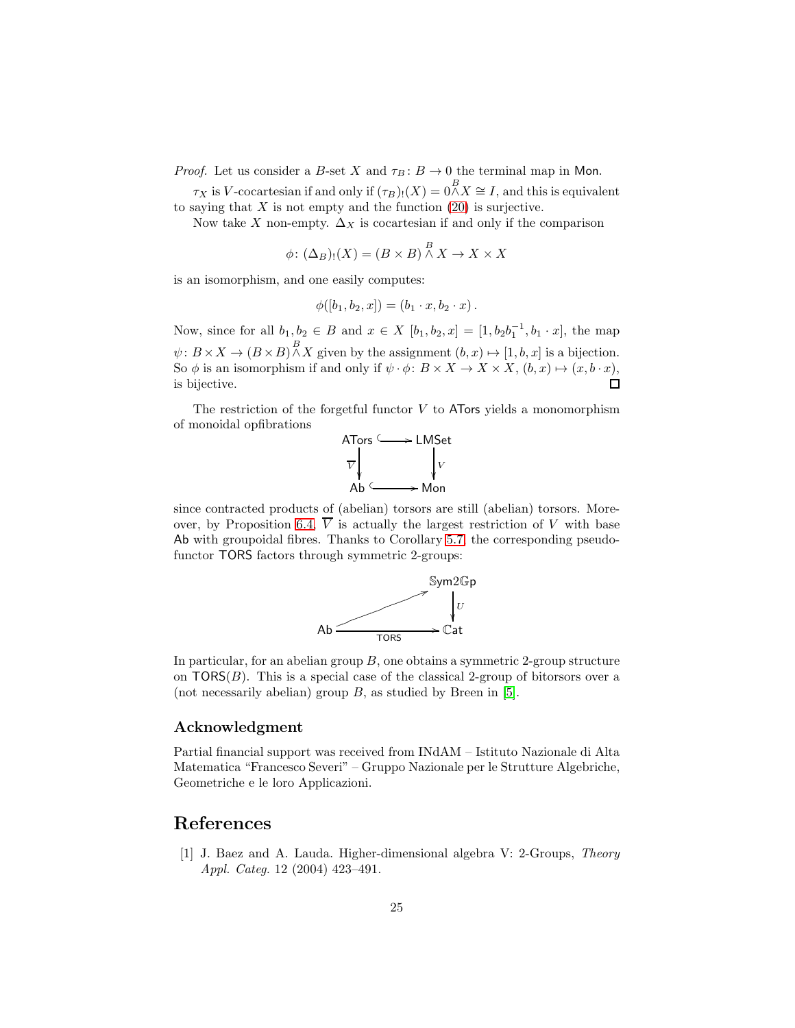*Proof.* Let us consider a B-set X and  $\tau_B: B \to 0$  the terminal map in Mon.

 $\tau_X$  is V-cocartesian if and only if  $(\tau_B)_!(X) = 0 \stackrel{B}{\wedge} X \cong I$ , and this is equivalent to saying that  $X$  is not empty and the function  $(20)$  is surjective.

Now take X non-empty.  $\Delta_X$  is cocartesian if and only if the comparison

$$
\phi\colon (\Delta_B)_!(X) = (B \times B) \stackrel{B}{\wedge} X \to X \times X
$$

is an isomorphism, and one easily computes:

$$
\phi([b_1, b_2, x]) = (b_1 \cdot x, b_2 \cdot x).
$$

Now, since for all  $b_1, b_2 \in B$  and  $x \in X$   $[b_1, b_2, x] = [1, b_2b_1^{-1}, b_1 \cdot x]$ , the map  $\psi: B \times X \to (B \times B) \stackrel{B}{\wedge} X$  given by the assignment  $(b, x) \mapsto [1, b, x]$  is a bijection. So  $\phi$  is an isomorphism if and only if  $\psi \cdot \phi \colon B \times X \to X \times X$ ,  $(b, x) \mapsto (x, b \cdot x)$ , is bijective.  $\Box$ 

The restriction of the forgetful functor  $V$  to ATors yields a monomorphism of monoidal opfibrations



since contracted products of (abelian) torsors are still (abelian) torsors. More-over, by Proposition [6.4,](#page-23-1)  $\overline{V}$  is actually the largest restriction of V with base Ab with groupoidal fibres. Thanks to Corollary [5.7,](#page-19-0) the corresponding pseudofunctor TORS factors through symmetric 2-groups:



In particular, for an abelian group  $B$ , one obtains a symmetric 2-group structure on  $TORS(B)$ . This is a special case of the classical 2-group of bitorsors over a (not necessarily abelian) group  $B$ , as studied by Breen in [\[5\]](#page-25-5).

#### Acknowledgment

Partial financial support was received from INdAM – Istituto Nazionale di Alta Matematica "Francesco Severi" – Gruppo Nazionale per le Strutture Algebriche, Geometriche e le loro Applicazioni.

#### <span id="page-24-0"></span>References

[1] J. Baez and A. Lauda. Higher-dimensional algebra V: 2-Groups, Theory Appl. Categ. 12 (2004) 423–491.